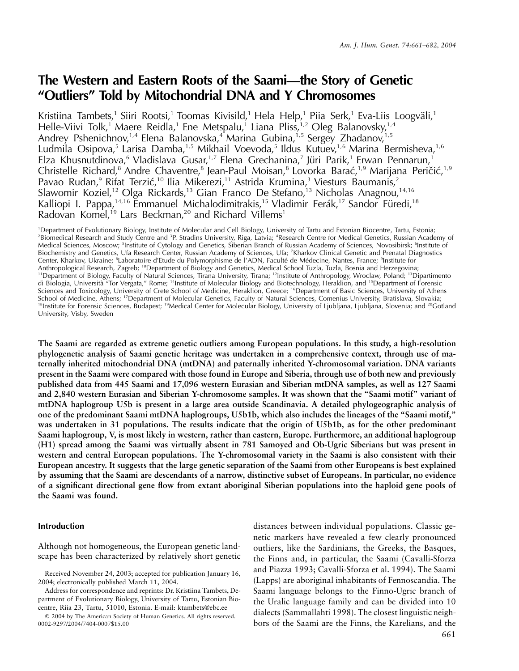# **The Western and Eastern Roots of the Saami—the Story of Genetic "Outliers" Told by Mitochondrial DNA and Y Chromosomes**

Kristiina Tambets,<sup>1</sup> Siiri Rootsi,<sup>1</sup> Toomas Kivisild,<sup>1</sup> Hela Help,<sup>1</sup> Piia Serk,<sup>1</sup> Eva-Liis Loogväli,<sup>1</sup> Helle-Viivi Tolk,<sup>1</sup> Maere Reidla,<sup>1</sup> Ene Metspalu,<sup>1</sup> Liana Pliss,<sup>1,2</sup> Oleg Balanovsky,<sup>1,4</sup> Andrey Pshenichnov,<sup>1,4</sup> Elena Balanovska,<sup>4</sup> Marina Gubina,<sup>1,5</sup> Sergey Zhadanov,<sup>1,5</sup> Ludmila Osipova,5 Larisa Damba,1,5 Mikhail Voevoda,5 Ildus Kutuev,1,6 Marina Bermisheva,1,6 Elza Khusnutdinova,<sup>6</sup> Vladislava Gusar,<sup>1,7</sup> Elena Grechanina,<sup>7</sup> Jüri Parik,<sup>1</sup> Erwan Pennarun,<sup>1</sup> Christelle Richard,<sup>8</sup> Andre Chaventre,<sup>8</sup> Jean-Paul Moisan,<sup>8</sup> Lovorka Barać,<sup>1,9</sup> Marijana Peričić,<sup>1,9</sup> Pavao Rudan,<sup>9</sup> Rifat Terzić,<sup>10</sup> Ilia Mikerezi,<sup>11</sup> Astrida Krumina,<sup>3</sup> Viesturs Baumanis,<sup>2</sup> Slawomir Koziel,<sup>12</sup> Olga Rickards,<sup>13</sup> Gian Franco De Stefano,<sup>13</sup> Nicholas Anagnou,<sup>14,16</sup> Kalliopi I. Pappa,<sup>14,16</sup> Emmanuel Michalodimitrakis,<sup>15</sup> Vladimir Ferák,<sup>17</sup> Sandor Füredi,<sup>18</sup> Radovan Komel,<sup>19</sup> Lars Beckman,<sup>20</sup> and Richard Villems<sup>1</sup>

1 Department of Evolutionary Biology, Institute of Molecular and Cell Biology, University of Tartu and Estonian Biocentre, Tartu, Estonia; <sup>2</sup>Biomedical Research and Study Centre and <sup>3</sup>P. Stradins University, Riga, Latvia; <sup>4</sup>Research Centre for Medical Genetics, Russian Academy of Medical Sciences, Moscow; <sup>5</sup>Institute of Cytology and Genetics, Siberian Branch of Russian Academy of Sciences, Novosibirsk; <sup>6</sup>Institute of Biochemistry and Genetics, Ufa Research Center, Russian Academy of Sciences, Ufa; <sup>7</sup>Kharkov Clinical Genetic and Prenatal Diagnostics Center, Kharkov, Ukraine; <sup>8</sup>Laboratoire d'Etude du Polymorphisme de l'ADN, Faculté de Médecine, Nantes, France; <sup>9</sup>Institute for Anthropological Research, Zagreb; <sup>10</sup>Department of Biology and Genetics, Medical School Tuzla, Tuzla, Bosnia and Herzegovina; 11Department of Biology, Faculty of Natural Sciences, Tirana University, Tirana; 12Institute of Anthropology, Wroclaw, Poland; 13Dipartimento di Biologia, Universita` "Tor Vergata," Rome; 14Institute of Molecular Biology and Biotechnology, Heraklion, and 15Department of Forensic Sciences and Toxicology, University of Crete School of Medicine, Heraklion, Greece; <sup>16</sup>Department of Basic Sciences, University of Athens School of Medicine, Athens; 17Department of Molecular Genetics, Faculty of Natural Sciences, Comenius University, Bratislava, Slovakia; <sup>18</sup>Institute for Forensic Sciences, Budapest; <sup>19</sup>Medical Center for Molecular Biology, University of Ljubljana, Ljubljana, Slovenia; and <sup>20</sup>Gotland University, Visby, Sweden

**The Saami are regarded as extreme genetic outliers among European populations. In this study, a high-resolution phylogenetic analysis of Saami genetic heritage was undertaken in a comprehensive context, through use of maternally inherited mitochondrial DNA (mtDNA) and paternally inherited Y-chromosomal variation. DNA variants present in the Saami were compared with those found in Europe and Siberia, through use of both new and previously published data from 445 Saami and 17,096 western Eurasian and Siberian mtDNA samples, as well as 127 Saami and 2,840 western Eurasian and Siberian Y-chromosome samples. It was shown that the "Saami motif" variant of mtDNA haplogroup U5b is present in a large area outside Scandinavia. A detailed phylogeographic analysis of one of the predominant Saami mtDNA haplogroups, U5b1b, which also includes the lineages of the "Saami motif," was undertaken in 31 populations. The results indicate that the origin of U5b1b, as for the other predominant Saami haplogroup, V, is most likely in western, rather than eastern, Europe. Furthermore, an additional haplogroup (H1) spread among the Saami was virtually absent in 781 Samoyed and Ob-Ugric Siberians but was present in western and central European populations. The Y-chromosomal variety in the Saami is also consistent with their European ancestry. It suggests that the large genetic separation of the Saami from other Europeans is best explained by assuming that the Saami are descendants of a narrow, distinctive subset of Europeans. In particular, no evidence of a significant directional gene flow from extant aboriginal Siberian populations into the haploid gene pools of the Saami was found.**

# **Introduction**

Although not homogeneous, the European genetic landscape has been characterized by relatively short genetic

distances between individual populations. Classic genetic markers have revealed a few clearly pronounced outliers, like the Sardinians, the Greeks, the Basques, the Finns and, in particular, the Saami (Cavalli-Sforza and Piazza 1993; Cavalli-Sforza et al. 1994). The Saami (Lapps) are aboriginal inhabitants of Fennoscandia. The Saami language belongs to the Finno-Ugric branch of the Uralic language family and can be divided into 10 dialects (Sammallahti 1998). The closest linguistic neighbors of the Saami are the Finns, the Karelians, and the

Received November 24, 2003; accepted for publication January 16, 2004; electronically published March 11, 2004.

Address for correspondence and reprints: Dr. Kristiina Tambets, Department of Evolutionary Biology, University of Tartu, Estonian Biocentre, Riia 23, Tartu, 51010, Estonia. E-mail: ktambets@ebc.ee

2004 by The American Society of Human Genetics. All rights reserved. 0002-9297/2004/7404-0007\$15.00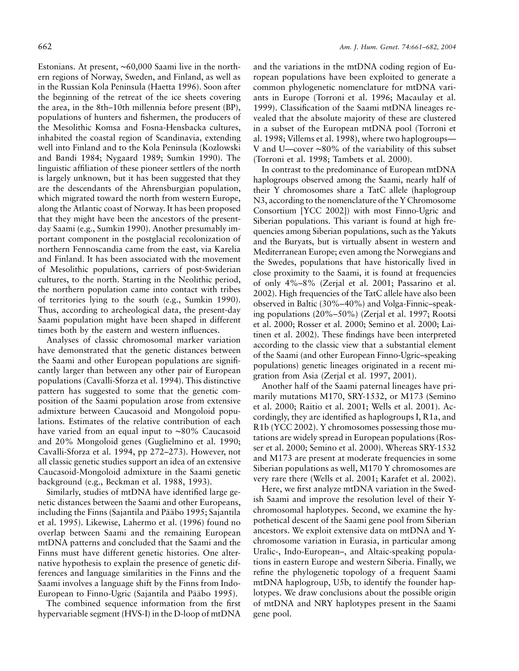Estonians. At present, ∼60,000 Saami live in the northern regions of Norway, Sweden, and Finland, as well as in the Russian Kola Peninsula (Haetta 1996). Soon after the beginning of the retreat of the ice sheets covering the area, in the 8th–10th millennia before present (BP), populations of hunters and fishermen, the producers of the Mesolithic Komsa and Fosna-Hensbacka cultures, inhabited the coastal region of Scandinavia, extending well into Finland and to the Kola Peninsula (Kozlowski and Bandi 1984; Nygaard 1989; Sumkin 1990). The linguistic affiliation of these pioneer settlers of the north is largely unknown, but it has been suggested that they are the descendants of the Ahrensburgian population, which migrated toward the north from western Europe, along the Atlantic coast of Norway. It has been proposed that they might have been the ancestors of the presentday Saami (e.g., Sumkin 1990). Another presumably important component in the postglacial recolonization of northern Fennoscandia came from the east, via Karelia and Finland. It has been associated with the movement of Mesolithic populations, carriers of post-Swiderian cultures, to the north. Starting in the Neolithic period, the northern population came into contact with tribes of territories lying to the south (e.g., Sumkin 1990). Thus, according to archeological data, the present-day Saami population might have been shaped in different times both by the eastern and western influences.

Analyses of classic chromosomal marker variation have demonstrated that the genetic distances between the Saami and other European populations are significantly larger than between any other pair of European populations (Cavalli-Sforza et al. 1994). This distinctive pattern has suggested to some that the genetic composition of the Saami population arose from extensive admixture between Caucasoid and Mongoloid populations. Estimates of the relative contribution of each have varied from an equal input to ∼80% Caucasoid and 20% Mongoloid genes (Guglielmino et al. 1990; Cavalli-Sforza et al. 1994, pp 272–273). However, not all classic genetic studies support an idea of an extensive Caucasoid-Mongoloid admixture in the Saami genetic background (e.g., Beckman et al. 1988, 1993).

Similarly, studies of mtDNA have identified large genetic distances between the Saami and other Europeans, including the Finns (Sajantila and Pääbo 1995; Sajantila et al. 1995). Likewise, Lahermo et al. (1996) found no overlap between Saami and the remaining European mtDNA patterns and concluded that the Saami and the Finns must have different genetic histories. One alternative hypothesis to explain the presence of genetic differences and language similarities in the Finns and the Saami involves a language shift by the Finns from Indo-European to Finno-Ugric (Sajantila and Pääbo 1995).

The combined sequence information from the first hypervariable segment (HVS-I) in the D-loop of mtDNA

and the variations in the mtDNA coding region of European populations have been exploited to generate a common phylogenetic nomenclature for mtDNA variants in Europe (Torroni et al. 1996; Macaulay et al. 1999). Classification of the Saami mtDNA lineages revealed that the absolute majority of these are clustered in a subset of the European mtDNA pool (Torroni et al. 1998; Villems et al. 1998), where two haplogroups— V and U—cover ∼80% of the variability of this subset (Torroni et al. 1998; Tambets et al. 2000).

In contrast to the predominance of European mtDNA haplogroups observed among the Saami, nearly half of their Y chromosomes share a TatC allele (haplogroup N3, according to the nomenclature of the Y Chromosome Consortium [YCC 2002]) with most Finno-Ugric and Siberian populations. This variant is found at high frequencies among Siberian populations, such as the Yakuts and the Buryats, but is virtually absent in western and Mediterranean Europe; even among the Norwegians and the Swedes, populations that have historically lived in close proximity to the Saami, it is found at frequencies of only 4%–8% (Zerjal et al. 2001; Passarino et al. 2002). High frequencies of the TatC allele have also been observed in Baltic (30%–40%) and Volga-Finnic–speaking populations (20%–50%) (Zerjal et al. 1997; Rootsi et al. 2000; Rosser et al. 2000; Semino et al. 2000; Laitinen et al. 2002). These findings have been interpreted according to the classic view that a substantial element of the Saami (and other European Finno-Ugric–speaking populations) genetic lineages originated in a recent migration from Asia (Zerjal et al. 1997, 2001).

Another half of the Saami paternal lineages have primarily mutations M170, SRY-1532, or M173 (Semino et al. 2000; Raitio et al. 2001; Wells et al. 2001). Accordingly, they are identified as haplogroups I, R1a, and R1b (YCC 2002). Y chromosomes possessing those mutations are widely spread in European populations (Rosser et al. 2000; Semino et al. 2000). Whereas SRY-1532 and M173 are present at moderate frequencies in some Siberian populations as well, M170 Y chromosomes are very rare there (Wells et al. 2001; Karafet et al. 2002).

Here, we first analyze mtDNA variation in the Swedish Saami and improve the resolution level of their Ychromosomal haplotypes. Second, we examine the hypothetical descent of the Saami gene pool from Siberian ancestors. We exploit extensive data on mtDNA and Ychromosome variation in Eurasia, in particular among Uralic-, Indo-European–, and Altaic-speaking populations in eastern Europe and western Siberia. Finally, we refine the phylogenetic topology of a frequent Saami mtDNA haplogroup, U5b, to identify the founder haplotypes. We draw conclusions about the possible origin of mtDNA and NRY haplotypes present in the Saami gene pool.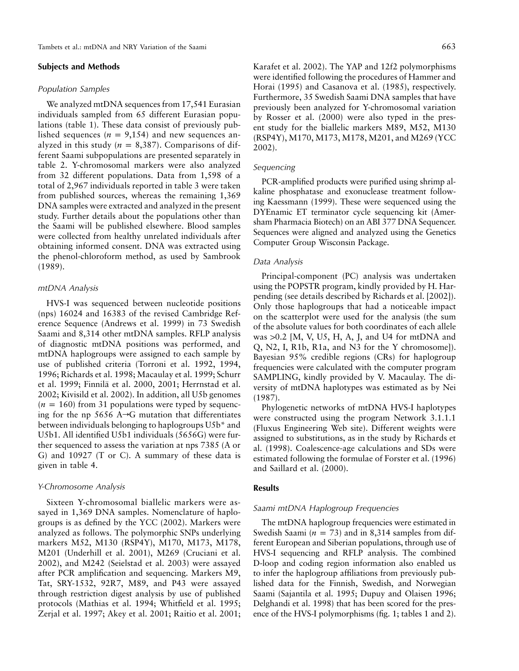### **Subjects and Methods**

#### *Population Samples*

We analyzed mtDNA sequences from 17,541 Eurasian individuals sampled from 65 different Eurasian populations (table 1). These data consist of previously published sequences ( $n = 9,154$ ) and new sequences analyzed in this study ( $n = 8,387$ ). Comparisons of different Saami subpopulations are presented separately in table 2. Y-chromosomal markers were also analyzed from 32 different populations. Data from 1,598 of a total of 2,967 individuals reported in table 3 were taken from published sources, whereas the remaining 1,369 DNA samples were extracted and analyzed in the present study. Further details about the populations other than the Saami will be published elsewhere. Blood samples were collected from healthy unrelated individuals after obtaining informed consent. DNA was extracted using the phenol-chloroform method, as used by Sambrook (1989).

### *mtDNA Analysis*

HVS-I was sequenced between nucleotide positions (nps) 16024 and 16383 of the revised Cambridge Reference Sequence (Andrews et al. 1999) in 73 Swedish Saami and 8,314 other mtDNA samples. RFLP analysis of diagnostic mtDNA positions was performed, and mtDNA haplogroups were assigned to each sample by use of published criteria (Torroni et al. 1992, 1994, 1996; Richards et al. 1998; Macaulay et al. 1999; Schurr et al. 1999; Finnila¨ et al. 2000, 2001; Herrnstad et al. 2002; Kivisild et al. 2002). In addition, all U5b genomes  $(n = 160)$  from 31 populations were typed by sequencing for the np 5656 A $\rightarrow$ G mutation that differentiates between individuals belonging to haplogroups U5b\* and U5b1. All identified U5b1 individuals (5656G) were further sequenced to assess the variation at nps 7385 (A or G) and 10927 (T or C). A summary of these data is given in table 4.

#### *Y-Chromosome Analysis*

Sixteen Y-chromosomal biallelic markers were assayed in 1,369 DNA samples. Nomenclature of haplogroups is as defined by the YCC (2002). Markers were analyzed as follows. The polymorphic SNPs underlying markers M52, M130 (RSP4Y), M170, M173, M178, M201 (Underhill et al. 2001), M269 (Cruciani et al. 2002), and M242 (Seielstad et al. 2003) were assayed after PCR amplification and sequencing. Markers M9, Tat, SRY-1532, 92R7, M89, and P43 were assayed through restriction digest analysis by use of published protocols (Mathias et al. 1994; Whitfield et al. 1995; Zerjal et al. 1997; Akey et al. 2001; Raitio et al. 2001;

Karafet et al. 2002). The YAP and 12f2 polymorphisms were identified following the procedures of Hammer and Horai (1995) and Casanova et al. (1985), respectively. Furthermore, 35 Swedish Saami DNA samples that have previously been analyzed for Y-chromosomal variation by Rosser et al. (2000) were also typed in the present study for the biallelic markers M89, M52, M130 (RSP4Y), M170, M173, M178, M201, and M269 (YCC 2002).

# *Sequencing*

PCR-amplified products were purified using shrimp alkaline phosphatase and exonuclease treatment following Kaessmann (1999). These were sequenced using the DYEnamic ET terminator cycle sequencing kit (Amersham Pharmacia Biotech) on an ABI 377 DNA Sequencer. Sequences were aligned and analyzed using the Genetics Computer Group Wisconsin Package.

## *Data Analysis*

Principal-component (PC) analysis was undertaken using the POPSTR program, kindly provided by H. Harpending (see details described by Richards et al. [2002]). Only those haplogroups that had a noticeable impact on the scatterplot were used for the analysis (the sum of the absolute values for both coordinates of each allele was  $>0.2$  [M, V, U5, H, A, J, and U4 for mtDNA and Q, N2, I, R1b, R1a, and N3 for the Y chromosome]). Bayesian 95% credible regions (CRs) for haplogroup frequencies were calculated with the computer program SAMPLING, kindly provided by V. Macaulay. The diversity of mtDNA haplotypes was estimated as by Nei (1987).

Phylogenetic networks of mtDNA HVS-I haplotypes were constructed using the program Network 3.1.1.1 (Fluxus Engineering Web site). Different weights were assigned to substitutions, as in the study by Richards et al. (1998). Coalescence-age calculations and SDs were estimated following the formulae of Forster et al. (1996) and Saillard et al. (2000).

### **Results**

### *Saami mtDNA Haplogroup Frequencies*

The mtDNA haplogroup frequencies were estimated in Swedish Saami ( $n = 73$ ) and in 8,314 samples from different European and Siberian populations, through use of HVS-I sequencing and RFLP analysis. The combined D-loop and coding region information also enabled us to infer the haplogroup affiliations from previously published data for the Finnish, Swedish, and Norwegian Saami (Sajantila et al. 1995; Dupuy and Olaisen 1996; Delghandi et al. 1998) that has been scored for the presence of the HVS-I polymorphisms (fig. 1; tables 1 and 2).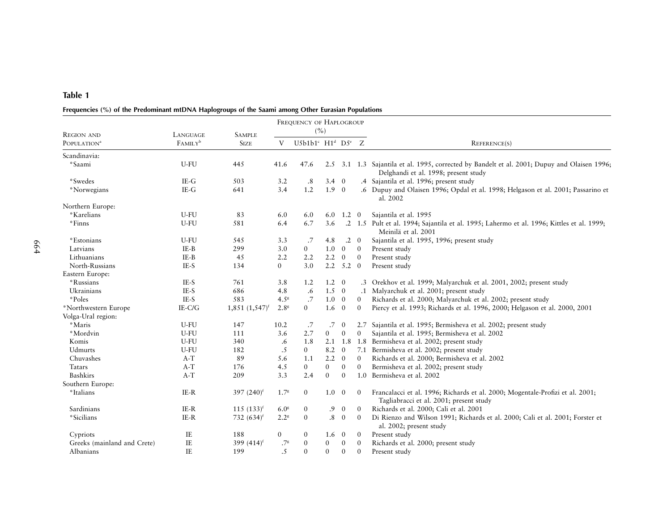# Frequencies (%) of the Predominant mtDNA Haplogroups of the Saami among Other Eurasian Populations

|                                              |                                 |                                |                  | FREQUENCY OF HAPLOGROUP                           | (%)              |                |                |                                                                                                                                      |
|----------------------------------------------|---------------------------------|--------------------------------|------------------|---------------------------------------------------|------------------|----------------|----------------|--------------------------------------------------------------------------------------------------------------------------------------|
| <b>REGION AND</b><br>POPULATION <sup>a</sup> | LANGUAGE<br>FAMILY <sup>b</sup> | <b>SAMPLE</b><br><b>SIZE</b>   | V                | U5b1b1 $\text{c}$ H1 <sup>d</sup> D5 $\text{c}$ Z |                  |                |                | <b>REFERENCE(S)</b>                                                                                                                  |
| Scandinavia:                                 |                                 |                                |                  |                                                   |                  |                |                |                                                                                                                                      |
| *Saami                                       | U-FU                            | 445                            | 41.6             | 47.6                                              |                  |                |                | 2.5 3.1 1.3 Sajantila et al. 1995, corrected by Bandelt et al. 2001; Dupuy and Olaisen 1996;<br>Delghandi et al. 1998; present study |
| *Swedes                                      | $IE-G$                          | 503                            | 3.2              | .8                                                | $3.4 \quad 0$    |                |                | .4 Sajantila et al. 1996; present study                                                                                              |
| *Norwegians                                  | $IE-G$                          | 641                            | 3.4              | 1.2                                               | $1.9 \quad 0$    |                |                | .6 Dupuy and Olaisen 1996; Opdal et al. 1998; Helgason et al. 2001; Passarino et<br>al. 2002                                         |
| Northern Europe:                             |                                 |                                |                  |                                                   |                  |                |                |                                                                                                                                      |
| *Karelians                                   | U-FU                            | 83                             | 6.0              | 6.0                                               | 6.0              | $1.2 \quad 0$  |                | Sajantila et al. 1995                                                                                                                |
| *Finns                                       | U-FU                            | 581                            | 6.4              | 6.7                                               | 3.6              |                |                | .2 1.5 Pult et al. 1994; Sajantila et al. 1995; Lahermo et al. 1996; Kittles et al. 1999;<br>Meinilä et al. 2001                     |
| *Estonians                                   | U-FU                            | 545                            | 3.3              | .7                                                | 4.8              |                | $.2 \quad 0$   | Sajantila et al. 1995, 1996; present study                                                                                           |
| Latvians                                     | IE-B                            | 299                            | 3.0              | $\overline{0}$                                    | 1.0              | $\overline{0}$ | $\overline{0}$ | Present study                                                                                                                        |
| Lithuanians                                  | IE-B                            | 45                             | 2.2              | 2.2                                               | 2.2              | $\overline{0}$ | $\overline{0}$ | Present study                                                                                                                        |
| North-Russians                               | IE-S                            | 134                            | $\overline{0}$   | 3.0                                               |                  | $2.2$ $5.2$ 0  |                | Present study                                                                                                                        |
| Eastern Europe:                              |                                 |                                |                  |                                                   |                  |                |                |                                                                                                                                      |
| *Russians                                    | IE-S                            | 761                            | 3.8              | 1.2                                               | 1.2              | $\overline{0}$ |                | .3 Orekhov et al. 1999; Malyarchuk et al. 2001, 2002; present study                                                                  |
| Ukrainians                                   | IE-S                            | 686                            | 4.8              | .6                                                | 1.5              | $\overline{0}$ |                | .1 Malyarchuk et al. 2001; present study                                                                                             |
| *Poles                                       | IE-S                            | 583                            | 4.5 <sup>8</sup> | .7                                                | 1.0              | $\overline{0}$ | $\overline{0}$ | Richards et al. 2000; Malyarchuk et al. 2002; present study                                                                          |
| *Northwestern Europe                         | $IE-C/G$                        | $1,851$ $(1,547)$ <sup>f</sup> | 2.8 <sup>8</sup> | $\overline{0}$                                    | 1.6              | $\overline{0}$ | $\overline{0}$ | Piercy et al. 1993; Richards et al. 1996, 2000; Helgason et al. 2000, 2001                                                           |
| Volga-Ural region:                           |                                 |                                |                  |                                                   |                  |                |                |                                                                                                                                      |
| *Maris                                       | U-FU                            | 147                            | 10.2             | .7                                                | .7               | $\mathbf{0}$   |                | 2.7 Sajantila et al. 1995; Bermisheva et al. 2002; present study                                                                     |
| *Mordvin                                     | U-FU                            | 111                            | 3.6              | 2.7                                               | $\mathbf{0}$     | $\mathbf{0}$   | $\mathbf{0}$   | Sajantila et al. 1995; Bermisheva et al. 2002                                                                                        |
| Komis                                        | U-FU                            | 340                            | .6               | 1.8                                               | 2.1              | 1.8            |                | 1.8 Bermisheva et al. 2002; present study                                                                                            |
| Udmurts                                      | U-FU                            | 182                            | .5               | $\overline{0}$                                    | 8.2              | $\overline{0}$ |                | 7.1 Bermisheva et al. 2002; present study                                                                                            |
| Chuvashes                                    | $A-T$                           | 89                             | 5.6              | 1.1                                               | 2.2              | $\mathbf{0}$   | $\mathbf{0}$   | Richards et al. 2000; Bermisheva et al. 2002                                                                                         |
| Tatars                                       | $A-T$                           | 176                            | 4.5              | $\overline{0}$                                    | $\boldsymbol{0}$ | $\mathbf{0}$   | $\mathbf{0}$   | Bermisheva et al. 2002; present study                                                                                                |
| Bashkirs                                     | $A-T$                           | 209                            | 3.3              | 2.4                                               | $\mathbf{0}$     | $\mathbf{0}$   |                | 1.0 Bermisheva et al. 2002                                                                                                           |
| Southern Europe:                             |                                 |                                |                  |                                                   |                  |                |                |                                                                                                                                      |
| *Italians                                    | IE-R                            | 397 $(240)^f$                  | 1.7 <sup>s</sup> | $\overline{0}$                                    | 1.0              | $\overline{0}$ | $\theta$       | Francalacci et al. 1996; Richards et al. 2000; Mogentale-Profizi et al. 2001;<br>Tagliabracci et al. 2001; present study             |
| Sardinians                                   | $IE-R$                          | $115(133)^f$                   | 6.0 <sup>8</sup> | $\boldsymbol{0}$                                  | .9               | $\mathbf{0}$   | $\overline{0}$ | Richards et al. 2000; Cali et al. 2001                                                                                               |
| *Sicilians                                   | $IE-R$                          | 732 $(634)^f$                  | 2.2 <sup>8</sup> | $\mathbf{0}$                                      | $\cdot^8$        | $\overline{0}$ | $\overline{0}$ | Di Rienzo and Wilson 1991; Richards et al. 2000; Cali et al. 2001; Forster et<br>al. 2002; present study                             |
| Cypriots                                     | IE                              | 188                            | $\mathbf{0}$     | $\mathbf{0}$                                      | 1.6              | $\mathbf{0}$   | $\mathbf{0}$   | Present study                                                                                                                        |
| Greeks (mainland and Crete)                  | $\rm IE$                        | 399 (414) <sup>f</sup>         | .7 <sup>g</sup>  | $\mathbf{0}$                                      | $\mathbf{0}$     | $\overline{0}$ | $\mathbf{0}$   | Richards et al. 2000; present study                                                                                                  |
| Albanians                                    | IE                              | 199                            | .5               | $\mathbf{0}$                                      | $\mathbf{0}$     | $\theta$       | $\mathbf{0}$   | Present study                                                                                                                        |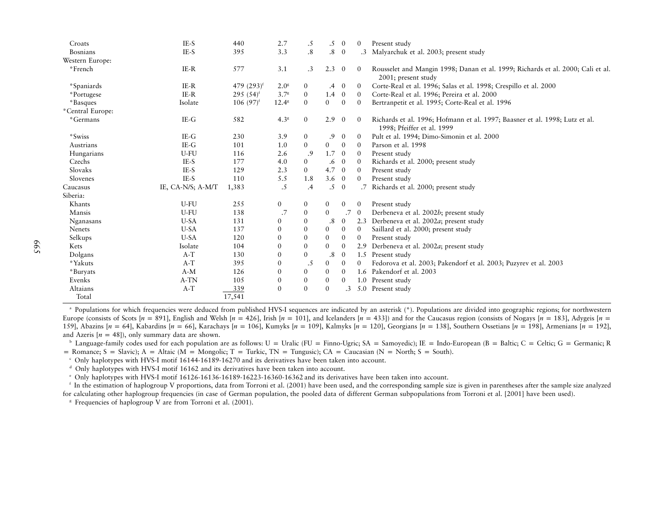| Croats           | IE-S              | 440           | 2.7              | .5               | .5              | $\overline{0}$ | $\mathbf{0}$   | Present study                                                                                             |
|------------------|-------------------|---------------|------------------|------------------|-----------------|----------------|----------------|-----------------------------------------------------------------------------------------------------------|
| <b>Bosnians</b>  | IE-S              | 395           | 3.3              | .8               | $\cdot^8$       | $\overline{0}$ | $\cdot$ 3      | Malyarchuk et al. 2003; present study                                                                     |
| Western Europe:  |                   |               |                  |                  |                 |                |                |                                                                                                           |
| *French          | $IE-R$            | 577           | 3.1              | $\cdot$ 3        | 2.3             | $\overline{0}$ | $\theta$       | Rousselet and Mangin 1998; Danan et al. 1999; Richards et al. 2000; Cali et al.<br>2001; present study    |
| *Spaniards       | IE-R              | 479 $(293)^f$ | 2.0 <sup>8</sup> | $\mathbf{0}$     | $.4\phantom{0}$ | $\overline{0}$ | $\theta$       | Corte-Real et al. 1996; Salas et al. 1998; Crespillo et al. 2000                                          |
| *Portugese       | $IE-R$            | 295 $(54)^f$  | 3.7 <sup>8</sup> | $\mathbf{0}$     | 1.4             | $\overline{0}$ | $\theta$       | Corte-Real et al. 1996; Pereira et al. 2000                                                               |
| *Basques         | Isolate           | $106(97)^t$   | $12.4^{\circ}$   | $\mathbf{0}$     | $\overline{0}$  | $\mathbf{0}$   | $\mathbf{0}$   | Bertranpetit et al. 1995; Corte-Real et al. 1996                                                          |
| *Central Europe: |                   |               |                  |                  |                 |                |                |                                                                                                           |
| *Germans         | $IE-G$            | 582           | 4.3 <sup>g</sup> | $\overline{0}$   | 2.9             | $\mathbf{0}$   | $\theta$       | Richards et al. 1996; Hofmann et al. 1997; Baasner et al. 1998; Lutz et al.<br>1998; Pfeiffer et al. 1999 |
| *Swiss           | IE-G              | 230           | 3.9              | $\overline{0}$   | $\cdot$ .9      | $\mathbf{0}$   | $\theta$       | Pult et al. 1994; Dimo-Simonin et al. 2000                                                                |
| Austrians        | $IE-G$            | 101           | 1.0              | $\overline{0}$   | $\overline{0}$  | $\overline{0}$ | $\overline{0}$ | Parson et al. 1998                                                                                        |
| Hungarians       | U-FU              | 116           | 2.6              | .9               | 1.7             | $\overline{0}$ | $\theta$       | Present study                                                                                             |
| Czechs           | IE-S              | 177           | 4.0              | $\overline{0}$   | .6              | $\overline{0}$ | $\overline{0}$ | Richards et al. 2000; present study                                                                       |
| Slovaks          | IE-S              | 129           | 2.3              | $\Omega$         | 4.7             | $\overline{0}$ | $\overline{0}$ | Present study                                                                                             |
| Slovenes         | IE-S              | 110           | 5.5              | 1.8              | $3.6 \quad 0$   |                | $\theta$       | Present study                                                                                             |
| Caucasus         | IE, CA-N/S; A-M/T | 1,383         | $\cdot$ 5        | $\cdot$          | $.5\,$          | $\mathbf{0}$   | .7             | Richards et al. 2000; present study                                                                       |
| Siberia:         |                   |               |                  |                  |                 |                |                |                                                                                                           |
| Khants           | U-FU              | 255           | $\overline{0}$   | $\mathbf{0}$     | $\overline{0}$  | $\mathbf{0}$   | $\mathbf{0}$   | Present study                                                                                             |
| Mansis           | U-FU              | 138           | .7               | $\mathbf{0}$     | $\overline{0}$  | .7             | $\overline{0}$ | Derbeneva et al. 2002b; present study                                                                     |
| Nganasans        | U-SA              | 131           | $\overline{0}$   | $\mathbf{0}$     | .8              | $\overline{0}$ | 2.3            | Derbeneva et al. 2002a; present study                                                                     |
| Nenets           | U-SA              | 137           | $\boldsymbol{0}$ | $\boldsymbol{0}$ | $\mathbf{0}$    | $\mathbf{0}$   | $\mathbf{0}$   | Saillard et al. 2000; present study                                                                       |
| Selkups          | U-SA              | 120           | $\overline{0}$   | $\theta$         | $\overline{0}$  | $\mathbf{0}$   | $\mathbf{0}$   | Present study                                                                                             |
| Kets             | Isolate           | 104           | $\mathbf{0}$     | $\mathbf{0}$     | $\overline{0}$  | $\mathbf{0}$   | 2.9            | Derbeneva et al. 2002a; present study                                                                     |
| Dolgans          | $A-T$             | 130           | $\theta$         | $\mathbf{0}$     | .8              | $\mathbf{0}$   |                | 1.5 Present study                                                                                         |
| *Yakuts          | $A-T$             | 395           | $\overline{0}$   | .5               | $\overline{0}$  | $\mathbf{0}$   | $\mathbf{0}$   | Fedorova et al. 2003; Pakendorf et al. 2003; Puzyrev et al. 2003                                          |
| *Buryats         | $A-M$             | 126           | $\overline{0}$   | $\mathbf{0}$     | $\mathbf{0}$    | $\mathbf{0}$   |                | 1.6 Pakendorf et al. 2003                                                                                 |
| Evenks           | A-TN              | 105           | $\theta$         | $\theta$         | $\overline{0}$  | $\theta$       | 1.0            | Present study                                                                                             |
| Altaians         | $A-T$             | 339           | $\overline{0}$   | $\mathbf{0}$     | $\mathbf{0}$    | .3             | 5.0            | Present study                                                                                             |
| Total            |                   | 17,541        |                  |                  |                 |                |                |                                                                                                           |

a Populations for which frequencies were deduced from published HVS-I sequences are indicated by an asterisk (\*). Populations are divided into geographic regions; for northwestern Europe (consists of Scots [n = 891], English and Welsh [n = 426], Irish [n = 101], and Icelanders [n = 433]) and for the Caucasus region (consists of Nogays [n = 183], Adygeis [n = 159], Abazins [n = 64], Kabardins [n = 66], Karachays [n = 106], Kumyks [n = 109], Kalmyks [n = 120], Georgians [n = 138], Southern Ossetians [n = 198], Armenians [n = 192], and Azeris  $[n = 48]$ , only summary data are shown.

<sup>b</sup> Language-family codes used for each population are as follows: U = Uralic (FU = Finno-Ugric; SA = Samoyedic); IE = Indo-European (B = Baltic; C = Celtic; G = Germanic; R  $p =$  Romance; S = Slavic); A = Altaic (M = Mongolic; T = Turkic, TN = Tungusic); CA = Caucasian (N = North; S = South).

c Only haplotypes with HVS-I motif 16144-16189-16270 and its derivatives have been taken into account.

d Only haplotypes with HVS-I motif 16162 and its derivatives have been taken into account.

e Only haplotypes with HVS-I motif 16126-16136-16189-16223-16360-16362 and its derivatives have been taken into account.

<sup>f</sup> In the estimation of haplogroup V proportions, data from Torroni et al. (2001) have been used, and the corresponding sample size is given in parentheses after the sample size analyzed for calculating other haplogroup frequencies (in case of German population, the pooled data of different German subpopulations from Torroni et al. [2001] have been used).

<sup>8</sup> Frequencies of haplogroup V are from Torroni et al. (2001).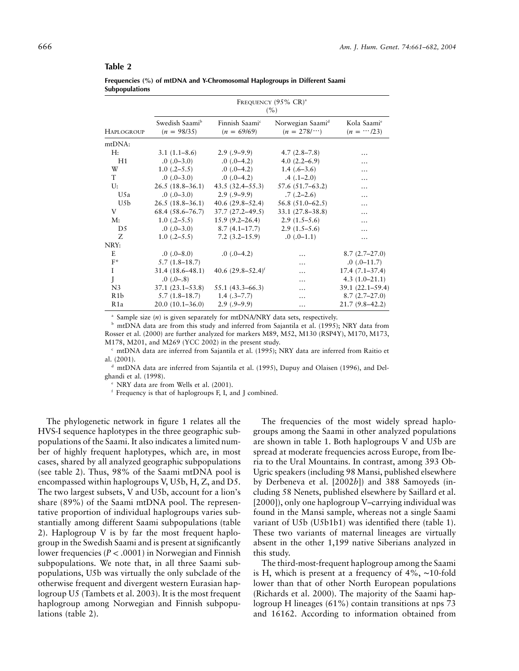|                  |                                 |                                             | FREQUENCY $(95\% \text{ CR})^{\text{a}}$<br>(%) |                                              |
|------------------|---------------------------------|---------------------------------------------|-------------------------------------------------|----------------------------------------------|
| Haplogroup       | Swedish Saamib<br>$(n = 98/35)$ | Finnish Saami <sup>c</sup><br>$(n = 69/69)$ | Norwegian Saamid<br>$(n = 278/\cdots)$          | Kola Saami <sup>e</sup><br>$(n = \cdots/23)$ |
| mtDNA:           |                                 |                                             |                                                 |                                              |
| H:               | $3.1(1.1-8.6)$                  | $2.9(.9-9.9)$                               | $4.7(2.8-7.8)$                                  | .                                            |
| H1               | $.0(.0-3.0)$                    | $.0(.0-4.2)$                                | $4.0(2.2-6.9)$                                  | .                                            |
| W                | $1.0$ $(.2-5.5)$                | $.0(.0-4.2)$                                | $1.4(.6-3.6)$                                   |                                              |
| T                | $.0(.0-3.0)$                    | $.0(.0-4.2)$                                | $.4(.1-2.0)$                                    |                                              |
| U:               | $26.5(18.8-36.1)$               | $43.5(32.4 - 55.3)$                         | $57.6(51.7-63.2)$                               |                                              |
| U5a              | $.0(.0-3.0)$                    | $2.9(.9-9.9)$                               | $.7(.2-2.6)$                                    | .                                            |
| U <sub>5</sub> b | $26.5(18.8-36.1)$               | $40.6(29.8-52.4)$                           | $56.8(51.0-62.5)$                               | $\ddotsc$                                    |
| V                | $68.4(58.6 - 76.7)$             | $37.7(27.2 - 49.5)$                         | $33.1(27.8 - 38.8)$                             |                                              |
| M:               | $1.0(.2-5.5)$                   | $15.9(9.2 - 26.4)$                          | $2.9(1.5-5.6)$                                  | $\ddotsc$                                    |
| D <sub>5</sub>   | $.0(.0-3.0)$                    | $8.7(4.1 - 17.7)$                           | $2.9(1.5-5.6)$                                  |                                              |
| Z                | $1.0(.2-5.5)$                   | $7.2(3.2 - 15.9)$                           | $.0(.0-1.1)$                                    | .                                            |
| NRY:             |                                 |                                             |                                                 |                                              |
| E                | $.0 \ (-8.0)$                   | $.0(.0-4.2)$                                |                                                 | $8.7(2.7-27.0)$                              |
| $F^*$            | $5.7(1.8-18.7)$                 |                                             |                                                 | $.0(.0-11.7)$                                |
| $\mathbf{I}$     | $31.4(18.6 - 48.1)$             | 40.6 $(29.8-52.4)$ <sup>f</sup>             | .                                               | $17.4(7.1-37.4)$                             |
| J                | $.0(.0-.8)$                     |                                             |                                                 | $4.3(1.0-21.1)$                              |
| N <sub>3</sub>   | $37.1(23.1 - 53.8)$             | $55.1(43.3 - 66.3)$                         | .                                               | $39.1(22.1 - 59.4)$                          |
| R <sub>1</sub> b | $5.7(1.8-18.7)$                 | $1.4$ (.3–7.7)                              | .                                               | $8.7(2.7-27.0)$                              |
| R <sub>1</sub> a | $20.0(10.1 - 36.0)$             | $2.9(.9-9.9)$                               | .                                               | $21.7(9.8-42.2)$                             |

| Frequencies (%) of mtDNA and Y-Chromosomal Haplogroups in Different Saami |  |  |
|---------------------------------------------------------------------------|--|--|
| <b>Subpopulations</b>                                                     |  |  |

<sup>a</sup> Sample size (*n*) is given separately for mtDNA/NRY data sets, respectively.

<sup>b</sup> mtDNA data are from this study and inferred from Sajantila et al. (1995); NRY data from Rosser et al. (2000) are further analyzed for markers M89, M52, M130 (RSP4Y), M170, M173, M178, M201, and M269 (YCC 2002) in the present study.

 $\textdegree$  mtDNA data are inferred from Sajantila et al. (1995); NRY data are inferred from Raitio et al. (2001).

<sup>d</sup> mtDNA data are inferred from Sajantila et al. (1995), Dupuy and Olaisen (1996), and Delghandi et al. (1998).

NRY data are from Wells et al. (2001).

<sup>f</sup> Frequency is that of haplogroups F, I, and J combined.

The phylogenetic network in figure 1 relates all the HVS-I sequence haplotypes in the three geographic subpopulations of the Saami. It also indicates a limited number of highly frequent haplotypes, which are, in most cases, shared by all analyzed geographic subpopulations (see table 2). Thus, 98% of the Saami mtDNA pool is encompassed within haplogroups V, U5b, H, Z, and D5. The two largest subsets, V and U5b, account for a lion's share (89%) of the Saami mtDNA pool. The representative proportion of individual haplogroups varies substantially among different Saami subpopulations (table 2). Haplogroup V is by far the most frequent haplogroup in the Swedish Saami and is present at significantly lower frequencies ( $P < .0001$ ) in Norwegian and Finnish subpopulations. We note that, in all three Saami subpopulations, U5b was virtually the only subclade of the otherwise frequent and divergent western Eurasian haplogroup U5 (Tambets et al. 2003). It is the most frequent haplogroup among Norwegian and Finnish subpopulations (table 2).

The frequencies of the most widely spread haplogroups among the Saami in other analyzed populations are shown in table 1. Both haplogroups V and U5b are spread at moderate frequencies across Europe, from Iberia to the Ural Mountains. In contrast, among 393 Ob-Ugric speakers (including 98 Mansi, published elsewhere by Derbeneva et al. [2002*b*]) and 388 Samoyeds (including 58 Nenets, published elsewhere by Saillard et al. [2000]), only one haplogroup V–carrying individual was found in the Mansi sample, whereas not a single Saami variant of U5b (U5b1b1) was identified there (table 1). These two variants of maternal lineages are virtually absent in the other 1,199 native Siberians analyzed in this study.

The third-most-frequent haplogroup among the Saami is H, which is present at a frequency of 4%, ∼10-fold lower than that of other North European populations (Richards et al. 2000). The majority of the Saami haplogroup H lineages (61%) contain transitions at nps 73 and 16162. According to information obtained from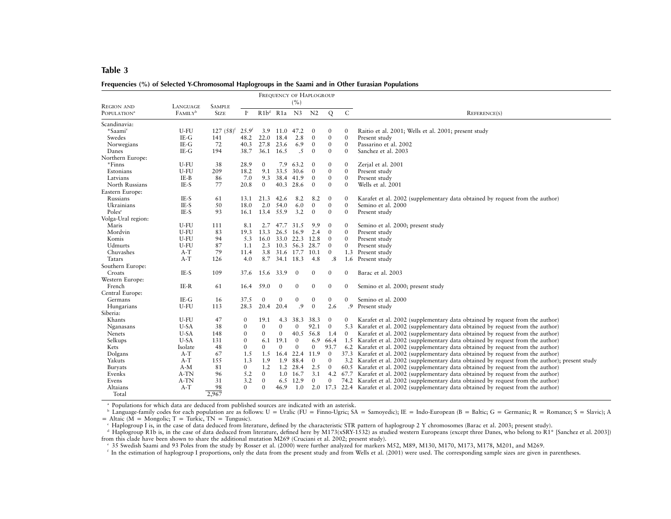| Frequencies (%) of Selected Y-Chromosomal Haplogroups in the Saami and in Other Eurasian Populations |  |  |
|------------------------------------------------------------------------------------------------------|--|--|
|                                                                                                      |  |  |

|                         |                     |               |                      |                  | FREQUENCY OF HAPLOGROUP |                  |                  |                  |                  |                                                                                                 |
|-------------------------|---------------------|---------------|----------------------|------------------|-------------------------|------------------|------------------|------------------|------------------|-------------------------------------------------------------------------------------------------|
| <b>REGION AND</b>       | LANGUAGE            | <b>SAMPLE</b> |                      |                  |                         | (%)              |                  |                  |                  |                                                                                                 |
| POPULATION <sup>a</sup> | FAMILY <sup>b</sup> | <b>SIZE</b>   | $\mathbf{I}^{\rm c}$ |                  | R1b <sup>d</sup> R1a N3 |                  | N <sub>2</sub>   | Q                | ${\bf C}$        | REFERENCE(S)                                                                                    |
| Scandinavia:            |                     |               |                      |                  |                         |                  |                  |                  |                  |                                                                                                 |
| *Saami <sup>e</sup>     | U-FU                | $127(58)^{f}$ | $25.9^{6}$           | 3.9              | 11.0                    | 47.2             | $\mathbf{0}$     | $\mathbf{0}$     | $\mathbf{0}$     | Raitio et al. 2001; Wells et al. 2001; present study                                            |
| Swedes                  | $IE-G$              | 141           | 48.2                 | 22.0             | 18.4                    | 2.8              | $\boldsymbol{0}$ | $\boldsymbol{0}$ | $\mathbf{0}$     | Present study                                                                                   |
| Norwegians              | $IE-G$              | 72            | 40.3                 | 27.8             | 23.6                    | 6.9              | $\mathbf{0}$     | $\mathbf{0}$     | $\mathbf{0}$     | Passarino et al. 2002                                                                           |
| Danes                   | $IE-G$              | 194           | 38.7                 | 36.1             | 16.5                    | .5               | $\mathbf{0}$     | $\boldsymbol{0}$ | $\mathbf{0}$     | Sanchez et al. 2003                                                                             |
| Northern Europe:        |                     |               |                      |                  |                         |                  |                  |                  |                  |                                                                                                 |
| *Finns                  | U-FU                | 38            | 28.9                 | $\mathbf{0}$     | 7.9                     | 63.2             | $\theta$         | $\mathbf{0}$     | $\mathbf{0}$     | Zerjal et al. 2001                                                                              |
| Estonians               | U-FU                | 209           | 18.2                 | 9.1              | 33.5                    | 30.6             | $\mathbf{0}$     | $\boldsymbol{0}$ | $\overline{0}$   | Present study                                                                                   |
| Latvians                | IE-B                | 86            | 7.0                  | 9.3              | 38.4                    | 41.9             | $\mathbf{0}$     | $\mathbf{0}$     | $\mathbf{0}$     | Present study                                                                                   |
| North Russians          | IE-S                | 77            | 20.8                 | $\mathbf{0}$     | 40.3                    | 28.6             | $\mathbf{0}$     | $\mathbf{0}$     | $\mathbf{0}$     | Wells et al. 2001                                                                               |
| Eastern Europe:         |                     |               |                      |                  |                         |                  |                  |                  |                  |                                                                                                 |
| Russians                | IE-S                | 61            | 13.1                 | 21.3             | 42.6                    | 8.2              | 8.2              | $\mathbf{0}$     | 0                | Karafet et al. 2002 (supplementary data obtained by request from the author)                    |
| Ukrainians              | IE-S                | 50            | 18.0                 | 2.0              | 54.0                    | 6.0              | $\mathbf{0}$     | $\mathbf{0}$     | $\mathbf{0}$     | Semino et al. 2000                                                                              |
| Poles <sup>e</sup>      | IE-S                | 93            | 16.1                 |                  | 13.4 55.9               | 3.2              | $\mathbf{0}$     | $\mathbf{0}$     | $\mathbf{0}$     | Present study                                                                                   |
| Volga-Ural region:      |                     |               |                      |                  |                         |                  |                  |                  |                  |                                                                                                 |
| Maris                   | U-FU                | 111           | 8.1                  | 2.7              | 47.7                    | 31.5             | 9.9              | $\boldsymbol{0}$ | $\mathbf{0}$     | Semino et al. 2000; present study                                                               |
| Mordvin                 | U-FU                | 83            | 19.3                 | 13.3             | 26.5                    | 16.9             | 2.4              | $\Omega$         | $\mathbf{0}$     | Present study                                                                                   |
| Komis                   | U-FU                | 94            | 5.3                  | 16.0             | 33.0 22.3               |                  | 12.8             | $\mathbf{0}$     | $\mathbf{0}$     | Present study                                                                                   |
| Udmurts                 | U-FU                | 87            | 1.1                  | 2.3              | 10.3                    | 56.3             | 28.7             | $\mathbf{0}$     | $\mathbf{0}$     | Present study                                                                                   |
| Chuvashes               | $A-T$               | 79            | 11.4                 | 3.8              | 31.6 17.7               |                  | 10.1             | $\theta$         |                  | 1.3 Present study                                                                               |
| Tatars                  | $A-T$               | 126           | 4.0                  | 8.7              | 34.1                    | 18.3             | 4.8              | .8               | 1.6              | Present study                                                                                   |
| Southern Europe:        |                     |               |                      |                  |                         |                  |                  |                  |                  |                                                                                                 |
| Croats                  | IE-S                | 109           | 37.6                 | 15.6             | 33.9                    | $\mathbf{0}$     | 0                | $\boldsymbol{0}$ | $\mathbf{0}$     | Barac et al. 2003                                                                               |
| Western Europe:         |                     |               |                      |                  |                         |                  |                  |                  |                  |                                                                                                 |
| French                  | IE-R                | 61            | 16.4                 | 59.0             | $\boldsymbol{0}$        | $\boldsymbol{0}$ | 0                | $\boldsymbol{0}$ | $\boldsymbol{0}$ | Semino et al. 2000; present study                                                               |
| Central Europe:         |                     |               |                      |                  |                         |                  |                  |                  |                  |                                                                                                 |
| Germans                 | $IE-G$              | 16            | 37.5                 | $\boldsymbol{0}$ | $\boldsymbol{0}$        | $\boldsymbol{0}$ | $\boldsymbol{0}$ | $\boldsymbol{0}$ | $\mathbf{0}$     | Semino et al. 2000                                                                              |
| Hungarians              | U-FU                | 113           | 28.3                 | 20.4             | 20.4                    | .9               | $\mathbf{0}$     | 2.6              | .9               | Present study                                                                                   |
| Siberia:                |                     |               |                      |                  |                         |                  |                  |                  |                  |                                                                                                 |
| Khants                  | U-FU                | 47            | $\mathbf{0}$         | 19.1             | 4.3                     | 38.3             | 38.3             | $\mathbf{0}$     | 0                | Karafet et al. 2002 (supplementary data obtained by request from the author)                    |
| Nganasans               | U-SA                | 38            | $\mathbf{0}$         | $\mathbf{0}$     | $\mathbf{0}$            | $\mathbf{0}$     | 92.1             | $\mathbf{0}$     |                  | 5.3 Karafet et al. 2002 (supplementary data obtained by request from the author)                |
| <b>Nenets</b>           | $U-SA$              | 148           | $\boldsymbol{0}$     | $\mathbf{0}$     | $\mathbf{0}$            | 40.5             | 56.8             | 1.4              | $\mathbf{0}$     | Karafet et al. 2002 (supplementary data obtained by request from the author)                    |
| Selkups                 | U-SA                | 131           | $\mathbf{0}$         | 6.1              | 19.1                    | $\mathbf{0}$     | 6.9              | 66.4             |                  | 1.5 Karafet et al. 2002 (supplementary data obtained by request from the author)                |
| Kets                    | Isolate             | 48            | $\Omega$             | $\Omega$         | $\Omega$                | $\Omega$         | $\mathbf{0}$     | 93.7             |                  | 6.2 Karafet et al. 2002 (supplementary data obtained by request from the author)                |
| Dolgans                 | $A-T$               | 67            | 1.5                  | 1.5              |                         | 16.4 22.4        | 11.9             | $\mathbf{0}$     |                  | 37.3 Karafet et al. 2002 (supplementary data obtained by request from the author)               |
| Yakuts                  | $A-T$               | 155           | 1.3                  | 1.9              | 1.9                     | 88.4             | $\mathbf{0}$     | $\mathbf{0}$     |                  | 3.2 Karafet et al. 2002 (supplementary data obtained by request from the author); present study |
| Buryats                 | $A-M$               | 81            | $\mathbf{0}$         | 1.2              | 1.2                     | 28.4             | 2.5              | $\mathbf{0}$     |                  | 60.5 Karafet et al. 2002 (supplementary data obtained by request from the author)               |
| Evenks                  | A-TN                | 96            | 5.2                  | $\overline{0}$   | 1.0                     | 16.7             | 3.1              | 4.2              | 67.7             | Karafet et al. 2002 (supplementary data obtained by request from the author)                    |
| Evens                   | A-TN                | 31            | 3.2                  | $\mathbf{0}$     | 6.5                     | 12.9             | $\mathbf{0}$     | $\mathbf{0}$     |                  | 74.2 Karafet et al. 2002 (supplementary data obtained by request from the author)               |
| Altaians                | $A-T$               | 98            | $\Omega$             | $\Omega$         | 46.9                    | 1.0              |                  |                  |                  | 2.0 17.3 22.4 Karafet et al. 2002 (supplementary data obtained by request from the author)      |
| Total                   |                     | 2,967         |                      |                  |                         |                  |                  |                  |                  |                                                                                                 |

a Populations for which data are deduced from published sources are indicated with an asterisk.

<sup>b</sup> Language-family codes for each population are as follows: U = Uralic (FU = Finno-Ugric; SA = Samoyedic); IE = Indo-European (B = Baltic; G = Germanic; R = Romance; S = Slavic); A = Altaic (M = Mongolic; T = Turkic, TN

" Haplogroup I is, in the case of data deduced from literature, defined by the characteristic STR pattern of haplogroup 2 Y chromosomes (Barac et al. 2003; present study).<br>" Haplogroup R1b is, in the case of data deduced f from this clade have been shown to share the additional mutation M269 (Cruciani et al. 2002; presen<sup>t</sup> study).

e 35 Swedish Saami and 93 Poles from the study by Rosser et al. (2000) were further analyzed for markers M52, M89, M130, M170, M173, M178, M201, and M269.

<sup>f</sup> In the estimation of haplogroup I proportions, only the data from the present study and from Wells et al. (2001) were used. The corresponding sample sizes are given in parentheses.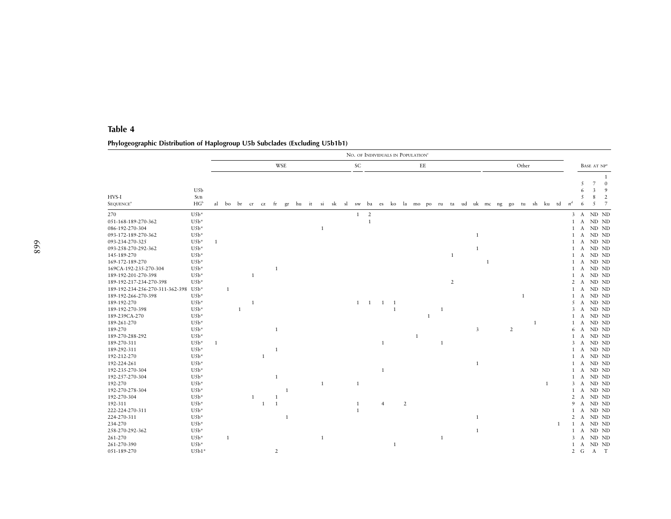# **Phylogeographic Distribution of Haplogroup U5b Subclades (Excluding U5b1b1)**

|                                 |                                                       |              |   |                   |                |    |                |            |  |              |  |              |              |                |     |                | NO. OF INDIVIDUALS IN POPULATION <sup>®</sup> |   |   |                |              |              |   |       |              |                                                                         |       |                     |                               |                                      |
|---------------------------------|-------------------------------------------------------|--------------|---|-------------------|----------------|----|----------------|------------|--|--------------|--|--------------|--------------|----------------|-----|----------------|-----------------------------------------------|---|---|----------------|--------------|--------------|---|-------|--------------|-------------------------------------------------------------------------|-------|---------------------|-------------------------------|--------------------------------------|
|                                 |                                                       |              |   |                   |                |    |                | <b>WSE</b> |  |              |  | SC           |              |                |     |                | $\rm{EE}$                                     |   |   |                |              |              |   | Other |              |                                                                         |       |                     |                               | BASE AT NP <sup>a</sup>              |
| HVS-I<br>SEQUENCE <sup>a</sup>  | U5b<br>$\ensuremath{\mathsf{SUB}}$<br>HG <sup>b</sup> |              |   | al bo br cr cz fr |                |    |                |            |  |              |  |              |              |                |     |                |                                               |   |   |                |              |              |   |       |              | gr hu it si sk sl sw ba es ko la mo po ru ta ud uk mc ng go tu sh ku td | $n^d$ | 5<br>6<br>5<br>6    | $\overline{7}$<br>3<br>8<br>5 | 1<br>$\overline{0}$<br>9<br>2<br>- 7 |
| 270                             | $U5b*$                                                |              |   |                   |                |    |                |            |  |              |  |              | $1 \quad 2$  |                |     |                |                                               |   |   |                |              |              |   |       |              |                                                                         |       |                     |                               | 3 A ND ND                            |
| 051-168-189-270-362             | $U5b*$                                                |              |   |                   |                |    |                |            |  |              |  |              | $\mathbf{1}$ |                |     |                |                                               |   |   |                |              |              |   |       |              |                                                                         |       |                     |                               | 1 A ND ND                            |
| 086-192-270-304                 | $U5b*$                                                |              |   |                   |                |    |                |            |  | $\mathbf{1}$ |  |              |              |                |     |                |                                               |   |   |                |              |              |   |       |              |                                                                         |       | 1 A                 |                               | ND ND                                |
| 093-172-189-270-362             | $U5b*$                                                |              |   |                   |                |    |                |            |  |              |  |              |              |                |     |                |                                               |   |   |                | 1            |              |   |       |              |                                                                         |       | $\mathbf{1}$<br>A   |                               | ND ND                                |
| 093-234-270-325                 | $U5b*$                                                |              |   |                   |                |    |                |            |  |              |  |              |              |                |     |                |                                               |   |   |                |              |              |   |       |              |                                                                         |       |                     |                               | 1 A ND ND                            |
| 093-258-270-292-362             | $U5b*$                                                |              |   |                   |                |    |                |            |  |              |  |              |              |                |     |                |                                               |   |   |                | 1            |              |   |       |              |                                                                         |       | $\mathbf{1}$<br>A   |                               | ND ND                                |
| 145-189-270                     | $U5b*$                                                |              |   |                   |                |    |                |            |  |              |  |              |              |                |     |                |                                               |   |   | -1             |              |              |   |       |              |                                                                         |       | $\mathbf{1}$<br>A   |                               | ND ND                                |
| 169-172-189-270                 | $U5b*$                                                |              |   |                   |                |    |                |            |  |              |  |              |              |                |     |                |                                               |   |   |                |              | $\mathbf{1}$ |   |       |              |                                                                         |       |                     |                               | 1 A ND ND                            |
| 169CA-192-235-270-304           | $U5b*$                                                |              |   |                   |                |    | 1              |            |  |              |  |              |              |                |     |                |                                               |   |   |                |              |              |   |       |              |                                                                         |       | $\mathbf{1}$<br>A   |                               | ND ND                                |
| 189-192-201-270-398             | $U5b*$                                                |              |   |                   | 1              |    |                |            |  |              |  |              |              |                |     |                |                                               |   |   |                |              |              |   |       |              |                                                                         |       | $\mathbf{1}$<br>A   |                               | ND ND                                |
| 189-192-217-234-270-398         | $U5b*$                                                |              |   |                   |                |    |                |            |  |              |  |              |              |                |     |                |                                               |   |   | $\overline{2}$ |              |              |   |       |              |                                                                         |       | $2 \text{ A}$       |                               | ND ND                                |
| 189-192-234-256-270-311-362-398 | $U5b*$                                                |              | 1 |                   |                |    |                |            |  |              |  |              |              |                |     |                |                                               |   |   |                |              |              |   |       |              |                                                                         |       | $\mathbf{1}$<br>A   |                               | ND ND                                |
| 189-192-266-270-398             | $U5b*$                                                |              |   |                   |                |    |                |            |  |              |  |              |              |                |     |                |                                               |   |   |                |              |              |   | 1     |              |                                                                         |       | $\mathbf{1}$<br>A   |                               | ND ND                                |
| 189-192-270                     | $U5b*$                                                |              |   |                   | $\overline{1}$ |    |                |            |  |              |  |              | 1 1          | <sup>1</sup>   | - 1 |                |                                               |   |   |                |              |              |   |       |              |                                                                         |       |                     |                               | 5 A ND ND                            |
| 189-192-270-398                 | $U5b*$                                                |              |   | 1                 |                |    |                |            |  |              |  |              |              |                | 1   |                |                                               |   | 1 |                |              |              |   |       |              |                                                                         |       | 3<br>A              |                               | ND ND                                |
| 189-239CA-270                   | $U5b*$                                                |              |   |                   |                |    |                |            |  |              |  |              |              |                |     |                |                                               | 1 |   |                |              |              |   |       |              |                                                                         |       | $\mathbf{1}$<br>A   |                               | ND ND                                |
| 189-261-270                     | $U5b*$                                                |              |   |                   |                |    |                |            |  |              |  |              |              |                |     |                |                                               |   |   |                |              |              |   |       | $\mathbf{1}$ |                                                                         |       |                     |                               | 1 A ND ND                            |
| 189-270                         | $U5b*$                                                |              |   |                   |                |    | 1              |            |  |              |  |              |              |                |     |                |                                               |   |   |                | 3            |              | 2 |       |              |                                                                         |       | 6<br>A              |                               | ND ND                                |
| 189-270-288-292                 | $U5b*$                                                |              |   |                   |                |    |                |            |  |              |  |              |              |                |     |                | 1                                             |   |   |                |              |              |   |       |              |                                                                         |       | $\mathbf{1}$<br>A   |                               | ND ND                                |
| 189-270-311                     | $U5b*$                                                | $\mathbf{1}$ |   |                   |                |    |                |            |  |              |  |              |              | $\mathbf{1}$   |     |                |                                               |   | 1 |                |              |              |   |       |              |                                                                         |       |                     |                               | 3 A ND ND                            |
| 189-292-311                     | $U5b*$                                                |              |   |                   |                |    | 1              |            |  |              |  |              |              |                |     |                |                                               |   |   |                |              |              |   |       |              |                                                                         |       | 1<br>A              |                               | ND ND                                |
| 192-212-270                     | $U5b*$                                                |              |   |                   |                | -1 |                |            |  |              |  |              |              |                |     |                |                                               |   |   |                |              |              |   |       |              |                                                                         |       | 1<br>A              |                               | ND ND                                |
| 192-224-261                     | $U5b*$                                                |              |   |                   |                |    |                |            |  |              |  |              |              |                |     |                |                                               |   |   |                | $\mathbf{1}$ |              |   |       |              |                                                                         |       | 1 A                 |                               | ND ND                                |
| 192-235-270-304                 | $U5b*$                                                |              |   |                   |                |    |                |            |  |              |  |              |              | $\mathbf{1}$   |     |                |                                               |   |   |                |              |              |   |       |              |                                                                         |       | 1<br>A              |                               | ND ND                                |
| 192-257-270-304                 | $U5b*$                                                |              |   |                   |                |    | 1              |            |  |              |  |              |              |                |     |                |                                               |   |   |                |              |              |   |       |              |                                                                         |       | $\mathbf{1}$<br>A   |                               | ND ND                                |
| 192-270                         | $U5b*$                                                |              |   |                   |                |    |                |            |  | $\mathbf{1}$ |  | $\mathbf{1}$ |              |                |     |                |                                               |   |   |                |              |              |   |       |              | $\mathbf{1}$                                                            |       |                     |                               | 3 A ND ND                            |
| 192-270-278-304                 | $U5b*$                                                |              |   |                   |                |    |                | -1         |  |              |  |              |              |                |     |                |                                               |   |   |                |              |              |   |       |              |                                                                         |       | $\mathbf{1}$<br>A   |                               | ND ND                                |
| 192-270-304                     | $U5b*$                                                |              |   |                   | 1              |    | -1             |            |  |              |  |              |              |                |     |                |                                               |   |   |                |              |              |   |       |              |                                                                         |       | $\overline{2}$<br>A |                               | ND ND                                |
| 192-311                         | $U5b*$                                                |              |   |                   |                | 1  | <sup>1</sup>   |            |  |              |  | $\mathbf{1}$ |              | $\overline{4}$ |     | $\overline{2}$ |                                               |   |   |                |              |              |   |       |              |                                                                         |       | 9<br>$\mathbf{A}$   |                               | ND ND                                |
| 222-224-270-311                 | $U5b*$                                                |              |   |                   |                |    |                |            |  |              |  | 1            |              |                |     |                |                                               |   |   |                |              |              |   |       |              |                                                                         |       | $\mathbf{1}$<br>A   |                               | ND ND                                |
| 224-270-311                     | $U5b*$                                                |              |   |                   |                |    |                | 1          |  |              |  |              |              |                |     |                |                                               |   |   |                | $\mathbf{1}$ |              |   |       |              |                                                                         |       | $\overline{2}$<br>A |                               | ND ND                                |
| 234-270                         | $U5b*$                                                |              |   |                   |                |    |                |            |  |              |  |              |              |                |     |                |                                               |   |   |                |              |              |   |       |              | 1                                                                       |       | $1 \quad A$         |                               | ND ND                                |
| 258-270-292-362                 | $U5b*$                                                |              |   |                   |                |    |                |            |  |              |  |              |              |                |     |                |                                               |   |   |                | $\mathbf{1}$ |              |   |       |              |                                                                         |       | $\mathbf{1}$<br>A   |                               | ND ND                                |
| 261-270                         | $U5b*$                                                |              | 1 |                   |                |    |                |            |  | $\mathbf{1}$ |  |              |              |                |     |                |                                               |   | 1 |                |              |              |   |       |              |                                                                         |       | 3<br>A              |                               | ND ND                                |
| 261-270-390                     | $U5b*$                                                |              |   |                   |                |    |                |            |  |              |  |              |              |                | 1   |                |                                               |   |   |                |              |              |   |       |              |                                                                         |       | 1 A                 |                               | ND ND                                |
| 051-189-270                     | $U5b1*$                                               |              |   |                   |                |    | $\overline{2}$ |            |  |              |  |              |              |                |     |                |                                               |   |   |                |              |              |   |       |              |                                                                         |       | 2 G                 |                               | A T                                  |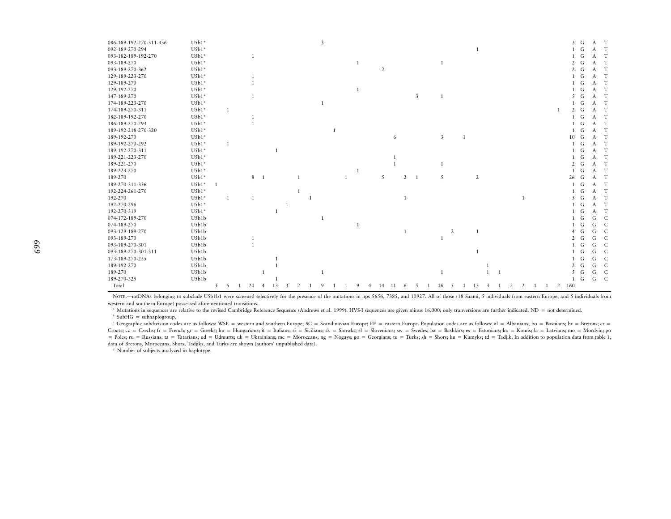| 086-189-192-270-311-336 | $U5b1*$ |   |                |              |                |    |   |  | 3 |              |              |                |    |                |                |                |   |              |                |              |                |              |  |                | $\overline{3}$ | G | A T |                |
|-------------------------|---------|---|----------------|--------------|----------------|----|---|--|---|--------------|--------------|----------------|----|----------------|----------------|----------------|---|--------------|----------------|--------------|----------------|--------------|--|----------------|----------------|---|-----|----------------|
| 092-189-270-294         | $U5b1*$ |   |                |              |                |    |   |  |   |              |              |                |    |                |                |                |   |              | $\mathbf{1}$   |              |                |              |  |                | $\overline{1}$ | G | A T |                |
| 093-182-189-192-270     | $U5b1*$ |   |                | $\mathbf{1}$ |                |    |   |  |   |              |              |                |    |                |                |                |   |              |                |              |                |              |  |                |                | G | A   | T              |
| 093-189-270             | $U5b1*$ |   |                |              |                |    |   |  |   |              |              |                |    |                |                | $\overline{1}$ |   |              |                |              |                |              |  |                | 2              | G | A   | T              |
| 093-189-270-362         | $U5b1*$ |   |                |              |                |    |   |  |   |              |              | $\overline{2}$ |    |                |                |                |   |              |                |              |                |              |  |                | $\mathcal{L}$  | G | A   | T              |
| 129-189-223-270         | $U5b1*$ |   |                |              |                |    |   |  |   |              |              |                |    |                |                |                |   |              |                |              |                |              |  |                | $\mathbf{1}$   | G | A T |                |
| 129-189-270             | $U5b1*$ |   |                | $\mathbf{1}$ |                |    |   |  |   |              |              |                |    |                |                |                |   |              |                |              |                |              |  |                | $\mathbf{1}$   | G | A T |                |
| 129-192-270             | $U5b1*$ |   |                |              |                |    |   |  |   |              |              |                |    |                |                |                |   |              |                |              |                |              |  |                | 1              | G | A T |                |
| 147-189-270             | $U5b1*$ |   |                | $\mathbf{1}$ |                |    |   |  |   |              |              |                |    |                | 3              | $\overline{1}$ |   |              |                |              |                |              |  |                | 5              | G | A T |                |
| 174-189-223-270         | $U5b1*$ |   |                |              |                |    |   |  | 1 |              |              |                |    |                |                |                |   |              |                |              |                |              |  |                | $\mathbf{1}$   | G | A T |                |
| 174-189-270-311         | $U5b1*$ |   | -1             |              |                |    |   |  |   |              |              |                |    |                |                |                |   |              |                |              |                |              |  | -1             | $\mathcal{L}$  | G | A T |                |
| 182-189-192-270         | $U5b1*$ |   |                |              |                |    |   |  |   |              |              |                |    |                |                |                |   |              |                |              |                |              |  |                | $\mathbf{1}$   | G | A T |                |
| 186-189-270-293         | $U5b1*$ |   |                |              |                |    |   |  |   |              |              |                |    |                |                |                |   |              |                |              |                |              |  |                | $\mathbf{1}$   | G | A T |                |
| 189-192-218-270-320     | $U5b1*$ |   |                |              |                |    |   |  |   | $\mathbf{1}$ |              |                |    |                |                |                |   |              |                |              |                |              |  |                | $\mathbf{1}$   | G | A T |                |
| 189-192-270             | $U5b1*$ |   |                |              |                |    |   |  |   |              |              |                | 6  |                |                | 3              |   | $\mathbf{1}$ |                |              |                |              |  |                | 10             | G | A   | T              |
| 189-192-270-292         | $U5b1*$ |   | $\overline{1}$ |              |                |    |   |  |   |              |              |                |    |                |                |                |   |              |                |              |                |              |  |                | $\mathbf{1}$   | G | A   | T              |
| 189-192-270-311         | $U5b1*$ |   |                |              |                |    |   |  |   |              |              |                |    |                |                |                |   |              |                |              |                |              |  |                |                | G | A T |                |
| 189-221-223-270         | $U5b1*$ |   |                |              |                |    |   |  |   |              |              |                |    |                |                |                |   |              |                |              |                |              |  |                |                | G | A   | T              |
| 189-221-270             | $U5b1*$ |   |                |              |                |    |   |  |   |              |              |                |    |                |                | 1              |   |              |                |              |                |              |  |                | $\overline{2}$ | G | A   | T              |
| 189-223-270             | $U5b1*$ |   |                |              |                |    |   |  |   |              | $\mathbf{1}$ |                |    |                |                |                |   |              |                |              |                |              |  |                | $\mathbf{1}$   | G | A   | T              |
| 189-270                 | $U5b1*$ |   |                | 8            | -1             |    |   |  |   |              |              | 5              |    | $\overline{2}$ | $\overline{1}$ | 5              |   |              | $\overline{2}$ |              |                |              |  |                | 26             | G | A   | T              |
| 189-270-311-336         | $U5b1*$ |   |                |              |                |    |   |  |   |              |              |                |    |                |                |                |   |              |                |              |                |              |  |                | -1             | G | A   | T              |
| 192-224-261-270         | $U5b1*$ |   |                |              |                |    |   |  |   |              |              |                |    |                |                |                |   |              |                |              |                |              |  |                |                | G | А   | T              |
| 192-270                 | $U5b1*$ |   | $\overline{1}$ |              |                |    |   |  |   |              |              |                |    |                |                |                |   |              |                |              |                | $\mathbf{1}$ |  |                | 5              | G | A   | T              |
| 192-270-296             | $U5b1*$ |   |                |              |                |    | 1 |  |   |              |              |                |    |                |                |                |   |              |                |              |                |              |  |                |                | G | A   | T              |
| 192-270-319             | $U5b1*$ |   |                |              |                |    |   |  |   |              |              |                |    |                |                |                |   |              |                |              |                |              |  |                |                | G | A   | $\mathbf T$    |
| 074-172-189-270         | U5b1b   |   |                |              |                |    |   |  |   |              |              |                |    |                |                |                |   |              |                |              |                |              |  |                |                | G | G   | $\mathsf{C}$   |
| 074-189-270             | U5b1b   |   |                |              |                |    |   |  |   |              |              |                |    |                |                |                |   |              |                |              |                |              |  |                |                | G | G   | $\mathsf{C}$   |
| 093-129-189-270         | U5b1b   |   |                |              |                |    |   |  |   |              |              |                |    |                |                |                | 2 |              |                |              |                |              |  |                |                | G | G   | $\mathsf{C}$   |
| 093-189-270             | U5b1b   |   |                |              |                |    |   |  |   |              |              |                |    |                |                |                |   |              |                |              |                |              |  |                | $\mathcal{I}$  | G | G   | $\mathsf{C}$   |
| 093-189-270-301         | U5b1b   |   |                |              |                |    |   |  |   |              |              |                |    |                |                |                |   |              |                |              |                |              |  |                |                | G | G   | $\mathsf{C}$   |
| 093-189-270-301-311     | U5b1b   |   |                |              |                |    |   |  |   |              |              |                |    |                |                |                |   |              |                |              |                |              |  |                |                | G | G   | $\mathsf{C}$   |
| 173-189-270-235         | U5b1b   |   |                |              |                |    |   |  |   |              |              |                |    |                |                |                |   |              |                |              |                |              |  |                |                | G | G   | $\mathsf{C}$   |
| 189-192-270             | U5b1b   |   |                |              |                |    |   |  |   |              |              |                |    |                |                |                |   |              |                |              |                |              |  |                | 2              | G | G   | $\mathsf{C}$   |
| 189-270                 | U5b1b   |   |                |              |                |    |   |  |   |              |              |                |    |                |                | 1              |   |              |                | $\mathbf{1}$ | $\overline{1}$ |              |  |                | 5              | G | G   | $\mathsf{C}$   |
| 189-270-325             | U5b1b   |   |                |              |                |    |   |  |   |              |              |                |    |                |                |                |   |              |                |              |                |              |  |                | $\mathbf{1}$   | G | G   | <sup>-</sup> C |
| Total                   |         | 3 | 5              | 20           | $\overline{4}$ | 13 |   |  |   |              | 9            | 14             | 11 |                |                | 16             | 5 |              |                |              |                |              |  | $\overline{2}$ | 160            |   |     |                |
|                         |         |   |                |              |                |    |   |  |   |              |              |                |    |                |                |                |   |              |                |              |                |              |  |                |                |   |     |                |

NOTE.—mtDNAs belonging to subclade U5b1b1 were screened selectively for the presence of the mutations in nps 5656, 7385, and 10927. All of those (18 Saami, 5 individuals from eastern Europe, and 5 individuals from western and southern Europe) possessed aforementioned transitions.

a Mutations in sequences are relative to the revised Cambridge Reference Sequence (Andrews et al. 1999). HVS-I sequences are <sup>g</sup>iven minus 16,000; only tranversions are further indicated. ND <sup>p</sup> not determined.

 $b$  SubHG = subhaplogroup.

 $\epsilon$  Geographic subdivision codes are as follows: WSE = western and southern Europe; SC = Scandinavian Europe; EE = eastern Europe. Population codes are as follows: al = Albanians; bo = Bosnians; br = Bretons; cr = Croats;  $cz = Czechs$ ;  $fr =$  French;  $gr =$  Greeks; hu = Hungarians;  $it =$  Italians;  $si =$  Sicilians;  $sk =$  Slovaks;  $sl =$  Slovenians;  $sw =$  Swedes;  $ba =$  Bashkirs;  $es =$  Estonians;  $ko =$  Komis; la = Latvians; mo = Mordvin; po = Poles; ru = Russians; ta = Tatarians; ud = Udmurts; uk = Ukrainians; mc = Moroccans; ng = Nogays; go = Georgians; tu = Turks; sh = Shors; ku = Kumyks; td = Tadjik. In addition to population data from table 1, data of Bretons, Moroccans, Shors, Tadjiks, and Turks are shown (authors' unpublished data).

d Number of subjects analyzed in haplotype.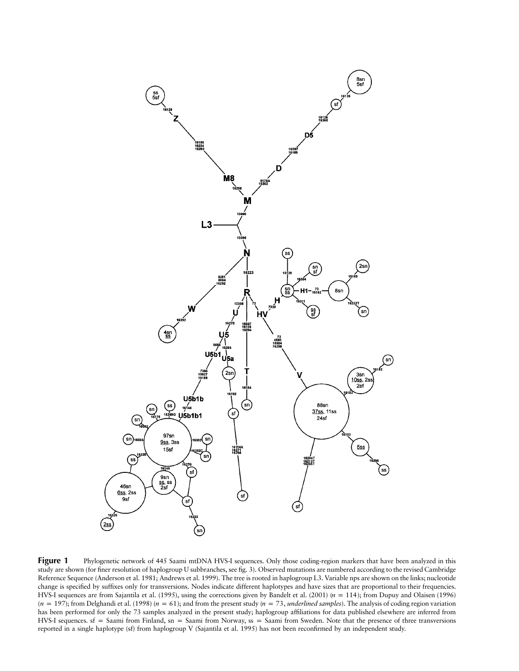

**Figure 1** Phylogenetic network of 445 Saami mtDNA HVS-I sequences. Only those coding-region markers that have been analyzed in this study are shown (for finer resolution of haplogroup U subbranches, see fig. 3). Observed mutations are numbered according to the revised Cambridge Reference Sequence (Anderson et al. 1981; Andrews et al. 1999). The tree is rooted in haplogroup L3. Variable nps are shown on the links; nucleotide change is specified by suffixes only for transversions. Nodes indicate different haplotypes and have sizes that are proportional to their frequencies. HVS-I sequences are from Sajantila et al. (1995), using the corrections given by Bandelt et al. (2001)  $(n = 114)$ ; from Dupuy and Olaisen (1996)  $(n = 197)$ ; from Delghandi et al. (1998)  $(n = 61)$ ; and from the present study  $(n = 73$ *, underlined samples*). The analysis of coding region variation has been performed for only the 73 samples analyzed in the present study; haplogroup affiliations for data published elsewhere are inferred from HVS-I sequences.  $sf =$  Saami from Finland,  $sn =$  Saami from Norway,  $ss =$  Saami from Sweden. Note that the presence of three transversions reported in a single haplotype (sf) from haplogroup V (Sajantila et al. 1995) has not been reconfirmed by an independent study.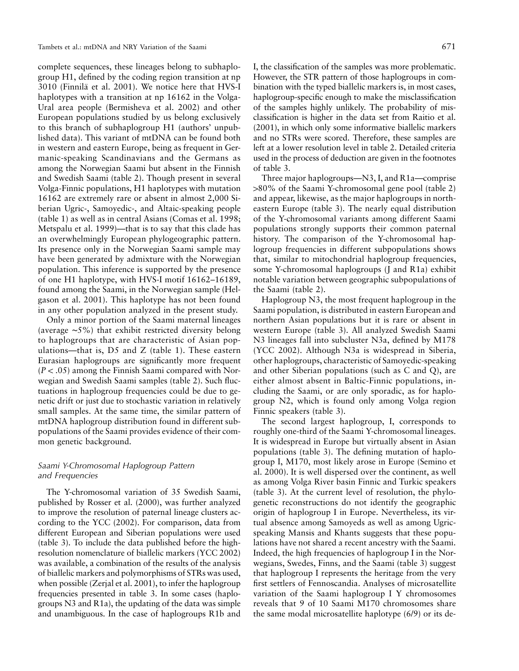complete sequences, these lineages belong to subhaplogroup H1, defined by the coding region transition at np 3010 (Finnila¨ et al. 2001). We notice here that HVS-I haplotypes with a transition at np 16162 in the Volga-Ural area people (Bermisheva et al. 2002) and other European populations studied by us belong exclusively to this branch of subhaplogroup H1 (authors' unpublished data). This variant of mtDNA can be found both in western and eastern Europe, being as frequent in Germanic-speaking Scandinavians and the Germans as among the Norwegian Saami but absent in the Finnish and Swedish Saami (table 2). Though present in several Volga-Finnic populations, H1 haplotypes with mutation 16162 are extremely rare or absent in almost 2,000 Siberian Ugric-, Samoyedic-, and Altaic-speaking people (table 1) as well as in central Asians (Comas et al. 1998; Metspalu et al. 1999)—that is to say that this clade has an overwhelmingly European phylogeographic pattern. Its presence only in the Norwegian Saami sample may have been generated by admixture with the Norwegian population. This inference is supported by the presence of one H1 haplotype, with HVS-I motif 16162–16189, found among the Saami, in the Norwegian sample (Helgason et al. 2001). This haplotype has not been found in any other population analyzed in the present study.

Only a minor portion of the Saami maternal lineages (average ∼5%) that exhibit restricted diversity belong to haplogroups that are characteristic of Asian populations—that is, D5 and Z (table 1). These eastern Eurasian haplogroups are significantly more frequent  $(P < .05)$  among the Finnish Saami compared with Norwegian and Swedish Saami samples (table 2). Such fluctuations in haplogroup frequencies could be due to genetic drift or just due to stochastic variation in relatively small samples. At the same time, the similar pattern of mtDNA haplogroup distribution found in different subpopulations of the Saami provides evidence of their common genetic background.

# *Saami Y-Chromosomal Haplogroup Pattern and Frequencies*

The Y-chromosomal variation of 35 Swedish Saami, published by Rosser et al. (2000), was further analyzed to improve the resolution of paternal lineage clusters according to the YCC (2002). For comparison, data from different European and Siberian populations were used (table 3). To include the data published before the highresolution nomenclature of biallelic markers (YCC 2002) was available, a combination of the results of the analysis of biallelic markers and polymorphisms of STRs was used, when possible (Zerjal et al. 2001), to infer the haplogroup frequencies presented in table 3. In some cases (haplogroups N3 and R1a), the updating of the data was simple and unambiguous. In the case of haplogroups R1b and

I, the classification of the samples was more problematic. However, the STR pattern of those haplogroups in combination with the typed biallelic markers is, in most cases, haplogroup-specific enough to make the misclassification of the samples highly unlikely. The probability of misclassification is higher in the data set from Raitio et al. (2001), in which only some informative biallelic markers and no STRs were scored. Therefore, these samples are left at a lower resolution level in table 2. Detailed criteria used in the process of deduction are given in the footnotes of table 3.

Three major haplogroups—N3, I, and R1a—comprise  $>80\%$  of the Saami Y-chromosomal gene pool (table 2) and appear, likewise, as the major haplogroups in northeastern Europe (table 3). The nearly equal distribution of the Y-chromosomal variants among different Saami populations strongly supports their common paternal history. The comparison of the Y-chromosomal haplogroup frequencies in different subpopulations shows that, similar to mitochondrial haplogroup frequencies, some Y-chromosomal haplogroups (J and R1a) exhibit notable variation between geographic subpopulations of the Saami (table 2).

Haplogroup N3, the most frequent haplogroup in the Saami population, is distributed in eastern European and northern Asian populations but it is rare or absent in western Europe (table 3). All analyzed Swedish Saami N3 lineages fall into subcluster N3a, defined by M178 (YCC 2002). Although N3a is widespread in Siberia, other haplogroups, characteristic of Samoyedic-speaking and other Siberian populations (such as C and Q), are either almost absent in Baltic-Finnic populations, including the Saami, or are only sporadic, as for haplogroup N2, which is found only among Volga region Finnic speakers (table 3).

The second largest haplogroup, I, corresponds to roughly one-third of the Saami Y-chromosomal lineages. It is widespread in Europe but virtually absent in Asian populations (table 3). The defining mutation of haplogroup I, M170, most likely arose in Europe (Semino et al. 2000). It is well dispersed over the continent, as well as among Volga River basin Finnic and Turkic speakers (table 3). At the current level of resolution, the phylogenetic reconstructions do not identify the geographic origin of haplogroup I in Europe. Nevertheless, its virtual absence among Samoyeds as well as among Ugricspeaking Mansis and Khants suggests that these populations have not shared a recent ancestry with the Saami. Indeed, the high frequencies of haplogroup I in the Norwegians, Swedes, Finns, and the Saami (table 3) suggest that haplogroup I represents the heritage from the very first settlers of Fennoscandia. Analyses of microsatellite variation of the Saami haplogroup I Y chromosomes reveals that 9 of 10 Saami M170 chromosomes share the same modal microsatellite haplotype (6/9) or its de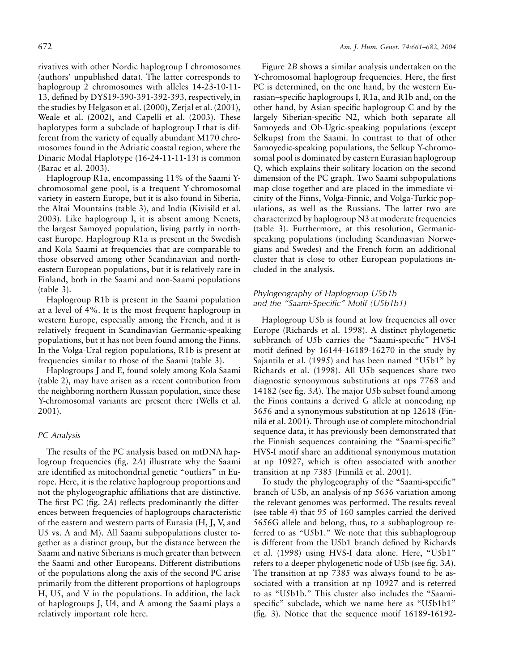rivatives with other Nordic haplogroup I chromosomes (authors' unpublished data). The latter corresponds to haplogroup 2 chromosomes with alleles 14-23-10-11- 13, defined by DYS19-390-391-392-393, respectively, in the studies by Helgason et al. (2000), Zerjal et al. (2001), Weale et al. (2002), and Capelli et al. (2003). These haplotypes form a subclade of haplogroup I that is different from the variety of equally abundant M170 chromosomes found in the Adriatic coastal region, where the Dinaric Modal Haplotype (16-24-11-11-13) is common (Barac et al. 2003).

Haplogroup R1a, encompassing 11% of the Saami Ychromosomal gene pool, is a frequent Y-chromosomal variety in eastern Europe, but it is also found in Siberia, the Altai Mountains (table 3), and India (Kivisild et al. 2003). Like haplogroup I, it is absent among Nenets, the largest Samoyed population, living partly in northeast Europe. Haplogroup R1a is present in the Swedish and Kola Saami at frequencies that are comparable to those observed among other Scandinavian and northeastern European populations, but it is relatively rare in Finland, both in the Saami and non-Saami populations (table 3).

Haplogroup R1b is present in the Saami population at a level of 4%. It is the most frequent haplogroup in western Europe, especially among the French, and it is relatively frequent in Scandinavian Germanic-speaking populations, but it has not been found among the Finns. In the Volga-Ural region populations, R1b is present at frequencies similar to those of the Saami (table 3).

Haplogroups J and E, found solely among Kola Saami (table 2), may have arisen as a recent contribution from the neighboring northern Russian population, since these Y-chromosomal variants are present there (Wells et al. 2001).

# *PC Analysis*

The results of the PC analysis based on mtDNA haplogroup frequencies (fig. 2*A*) illustrate why the Saami are identified as mitochondrial genetic "outliers" in Europe. Here, it is the relative haplogroup proportions and not the phylogeographic affiliations that are distinctive. The first PC (fig. 2*A*) reflects predominantly the differences between frequencies of haplogroups characteristic of the eastern and western parts of Eurasia (H, J, V, and U5 vs. A and M). All Saami subpopulations cluster together as a distinct group, but the distance between the Saami and native Siberians is much greater than between the Saami and other Europeans. Different distributions of the populations along the axis of the second PC arise primarily from the different proportions of haplogroups H, U5, and V in the populations. In addition, the lack of haplogroups J, U4, and A among the Saami plays a relatively important role here.

Figure 2*B* shows a similar analysis undertaken on the Y-chromosomal haplogroup frequencies. Here, the first PC is determined, on the one hand, by the western Eurasian–specific haplogroups I, R1a, and R1b and, on the other hand, by Asian-specific haplogroup C and by the largely Siberian-specific N2, which both separate all Samoyeds and Ob-Ugric-speaking populations (except Selkups) from the Saami. In contrast to that of other Samoyedic-speaking populations, the Selkup Y-chromosomal pool is dominated by eastern Eurasian haplogroup Q, which explains their solitary location on the second dimension of the PC graph. Two Saami subpopulations map close together and are placed in the immediate vicinity of the Finns, Volga-Finnic, and Volga-Turkic populations, as well as the Russians. The latter two are characterized by haplogroup N3 at moderate frequencies (table 3). Furthermore, at this resolution, Germanicspeaking populations (including Scandinavian Norwegians and Swedes) and the French form an additional cluster that is close to other European populations included in the analysis.

# *Phylogeography of Haplogroup U5b1b and the "Saami-Specific" Motif (U5b1b1)*

Haplogroup U5b is found at low frequencies all over Europe (Richards et al. 1998). A distinct phylogenetic subbranch of U5b carries the "Saami-specific" HVS-I motif defined by 16144-16189-16270 in the study by Sajantila et al. (1995) and has been named "U5b1" by Richards et al. (1998). All U5b sequences share two diagnostic synonymous substitutions at nps 7768 and 14182 (see fig. 3*A*). The major U5b subset found among the Finns contains a derived G allele at noncoding np 5656 and a synonymous substitution at np 12618 (Finnilä et al. 2001). Through use of complete mitochondrial sequence data, it has previously been demonstrated that the Finnish sequences containing the "Saami-specific" HVS-I motif share an additional synonymous mutation at np 10927, which is often associated with another transition at np 7385 (Finnilä et al. 2001).

To study the phylogeography of the "Saami-specific" branch of U5b, an analysis of np 5656 variation among the relevant genomes was performed. The results reveal (see table 4) that 95 of 160 samples carried the derived 5656G allele and belong, thus, to a subhaplogroup referred to as "U5b1." We note that this subhaplogroup is different from the U5b1 branch defined by Richards et al. (1998) using HVS-I data alone. Here, "U5b1" refers to a deeper phylogenetic node of U5b (see fig. 3*A*). The transition at np 7385 was always found to be associated with a transition at np 10927 and is referred to as "U5b1b." This cluster also includes the "Saamispecific" subclade, which we name here as "U5b1b1" (fig. 3). Notice that the sequence motif 16189-16192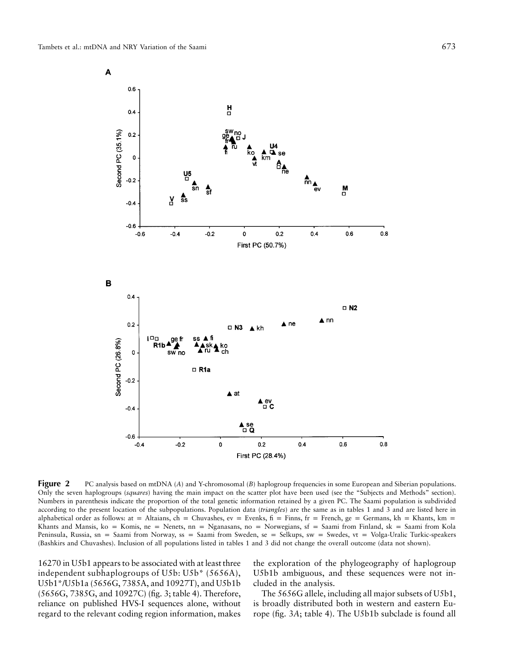$0.6$ 

 $0.4$ 

A





변

**Figure 2** PC analysis based on mtDNA (*A*) and Y-chromosomal (*B*) haplogroup frequencies in some European and Siberian populations. Only the seven haplogroups (*squares*) having the main impact on the scatter plot have been used (see the "Subjects and Methods" section). Numbers in parenthesis indicate the proportion of the total genetic information retained by a given PC. The Saami population is subdivided according to the present location of the subpopulations. Population data (*triangles*) are the same as in tables 1 and 3 and are listed here in alphabetical order as follows: at = Altaians, ch = Chuvashes, ev = Evenks,  $f_i$  = Finns,  $f_i$  = French, ge = Germans, kh = Khants, km = Khants and Mansis, ko = Komis, ne = Nenets, nn = Nganasans, no = Norwegians, sf = Saami from Finland, sk = Saami from Kola Peninsula, Russia, sn = Saami from Norway, ss = Saami from Sweden, se = Selkups, sw = Swedes, vt = Volga-Uralic Turkic-speakers (Bashkirs and Chuvashes). Inclusion of all populations listed in tables 1 and 3 did not change the overall outcome (data not shown).

16270 in U5b1 appears to be associated with at least three independent subhaplogroups of U5b: U5b\* (5656A), U5b1\*/U5b1a (5656G, 7385A, and 10927T), and U5b1b (5656G, 7385G, and 10927C) (fig. 3; table 4). Therefore, reliance on published HVS-I sequences alone, without regard to the relevant coding region information, makes

the exploration of the phylogeography of haplogroup U5b1b ambiguous, and these sequences were not included in the analysis.

The 5656G allele, including all major subsets of U5b1, is broadly distributed both in western and eastern Europe (fig. 3*A*; table 4). The U5b1b subclade is found all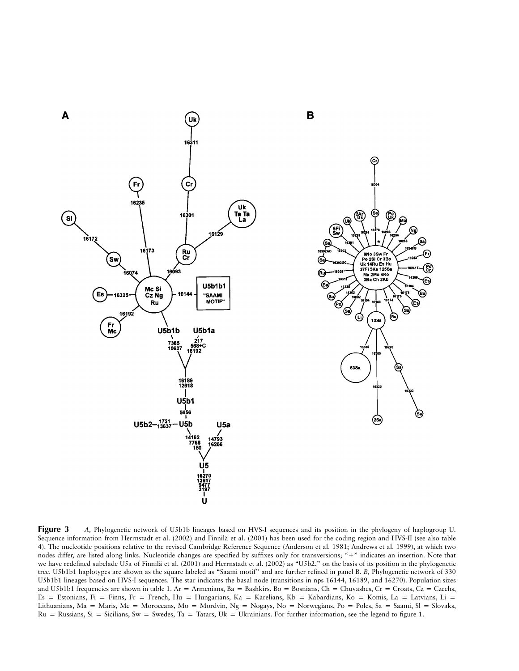



**Figure 3** *A, Phylogenetic network of U5b1b lineages based on HVS-I sequences and its position in the phylogeny of haplogroup U.* Sequence information from Herrnstadt et al. (2002) and Finnilä et al. (2001) has been used for the coding region and HVS-II (see also table 4). The nucleotide positions relative to the revised Cambridge Reference Sequence (Anderson et al. 1981; Andrews et al. 1999), at which two nodes differ, are listed along links. Nucleotide changes are specified by suffixes only for transversions; "+" indicates an insertion. Note that we have redefined subclade U5a of Finnilä et al. (2001) and Herrnstadt et al. (2002) as "U5b2," on the basis of its position in the phylogenetic tree. U5b1b1 haplotypes are shown as the square labeled as "Saami motif" and are further refined in panel B. *B,* Phylogenetic network of 330 U5b1b1 lineages based on HVS-I sequences. The star indicates the basal node (transitions in nps 16144, 16189, and 16270). Population sizes and U5b1b1 frequencies are shown in table 1. Ar = Armenians, Ba = Bashkirs, Bo = Bosnians, Ch = Chuvashes, Cr = Croats, Cz = Czechs, Es = Estonians, Fi = Finns, Fr = French, Hu = Hungarians, Ka = Karelians, Kb = Kabardians, Ko = Komis, La = Latvians, Li = Lithuanians, Ma = Maris, Mc = Moroccans, Mo = Mordvin, Ng = Nogays, No = Norwegians, Po = Poles, Sa = Saami, Sl = Slovaks,  $Ru = Russians$ ,  $Si = Sicilians$ ,  $Sw = Swedes$ , Ta = Tatars,  $Uk = Ukrainians$ . For further information, see the legend to figure 1.

B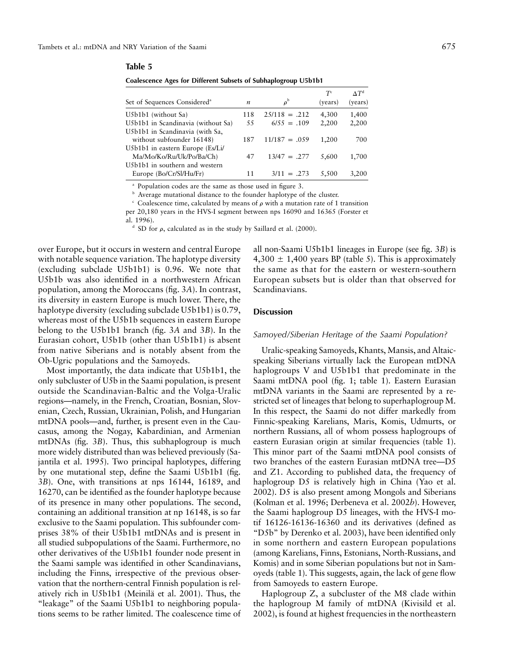| Ш<br>r<br>í | н<br>ı. |  |  |
|-------------|---------|--|--|
|-------------|---------|--|--|

**Coalescence Ages for Different Subsets of Subhaplogroup U5b1b1**

| (years) |
|---------|
| 1,400   |
| 2,200   |
|         |
| 700     |
|         |
| 1,700   |
|         |
| 3,200   |
|         |

<sup>a</sup> Population codes are the same as those used in figure 3.

**b** Average mutational distance to the founder haplotype of the cluster.

 $\epsilon$  Coalescence time, calculated by means of  $\rho$  with a mutation rate of 1 transition

per 20,180 years in the HVS-I segment between nps 16090 and 16365 (Forster et al. 1996).

<sup>d</sup> SD for  $\rho$ , calculated as in the study by Saillard et al. (2000).

over Europe, but it occurs in western and central Europe with notable sequence variation. The haplotype diversity (excluding subclade U5b1b1) is 0.96. We note that U5b1b was also identified in a northwestern African population, among the Moroccans (fig. 3*A*). In contrast, its diversity in eastern Europe is much lower. There, the haplotype diversity (excluding subclade U5b1b1) is 0.79, whereas most of the U5b1b sequences in eastern Europe belong to the U5b1b1 branch (fig. 3*A* and 3*B*). In the Eurasian cohort, U5b1b (other than U5b1b1) is absent from native Siberians and is notably absent from the Ob-Ugric populations and the Samoyeds.

Most importantly, the data indicate that U5b1b1, the only subcluster of U5b in the Saami population, is present outside the Scandinavian-Baltic and the Volga-Uralic regions—namely, in the French, Croatian, Bosnian, Slovenian, Czech, Russian, Ukrainian, Polish, and Hungarian mtDNA pools—and, further, is present even in the Caucasus, among the Nogay, Kabardinian, and Armenian mtDNAs (fig. 3*B*). Thus, this subhaplogroup is much more widely distributed than was believed previously (Sajantila et al. 1995). Two principal haplotypes, differing by one mutational step, define the Saami U5b1b1 (fig. 3*B*). One, with transitions at nps 16144, 16189, and 16270, can be identified as the founder haplotype because of its presence in many other populations. The second, containing an additional transition at np 16148, is so far exclusive to the Saami population. This subfounder comprises 38% of their U5b1b1 mtDNAs and is present in all studied subpopulations of the Saami. Furthermore, no other derivatives of the U5b1b1 founder node present in the Saami sample was identified in other Scandinavians, including the Finns, irrespective of the previous observation that the northern-central Finnish population is relatively rich in U5b1b1 (Meinila¨ et al. 2001). Thus, the "leakage" of the Saami U5b1b1 to neighboring populations seems to be rather limited. The coalescence time of all non-Saami U5b1b1 lineages in Europe (see fig. 3*B*) is  $4,300 \pm 1,400$  years BP (table 5). This is approximately the same as that for the eastern or western-southern European subsets but is older than that observed for Scandinavians.

# **Discussion**

### *Samoyed/Siberian Heritage of the Saami Population?*

Uralic-speaking Samoyeds, Khants, Mansis, and Altaicspeaking Siberians virtually lack the European mtDNA haplogroups V and U5b1b1 that predominate in the Saami mtDNA pool (fig. 1; table 1). Eastern Eurasian mtDNA variants in the Saami are represented by a restricted set of lineages that belong to superhaplogroup M. In this respect, the Saami do not differ markedly from Finnic-speaking Karelians, Maris, Komis, Udmurts, or northern Russians, all of whom possess haplogroups of eastern Eurasian origin at similar frequencies (table 1). This minor part of the Saami mtDNA pool consists of two branches of the eastern Eurasian mtDNA tree—D5 and Z1. According to published data, the frequency of haplogroup D5 is relatively high in China (Yao et al. 2002). D5 is also present among Mongols and Siberians (Kolman et al. 1996; Derbeneva et al. 2002*b*). However, the Saami haplogroup D5 lineages, with the HVS-I motif 16126-16136-16360 and its derivatives (defined as "D5b" by Derenko et al. 2003), have been identified only in some northern and eastern European populations (among Karelians, Finns, Estonians, North-Russians, and Komis) and in some Siberian populations but not in Samoyeds (table 1). This suggests, again, the lack of gene flow from Samoyeds to eastern Europe.

Haplogroup Z, a subcluster of the M8 clade within the haplogroup M family of mtDNA (Kivisild et al. 2002), is found at highest frequencies in the northeastern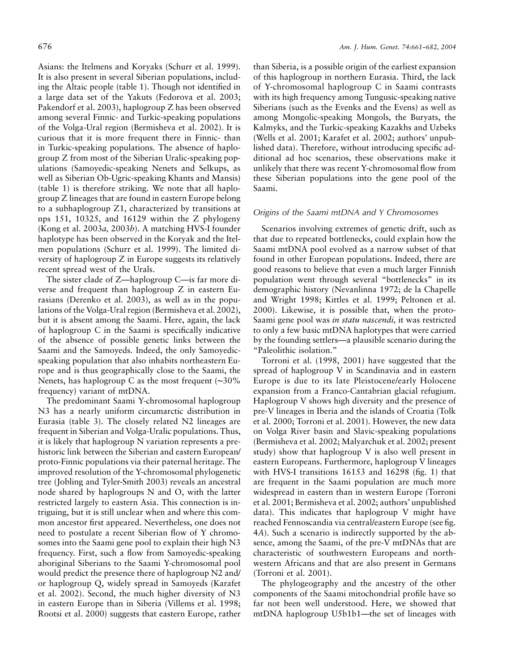Asians: the Itelmens and Koryaks (Schurr et al. 1999). It is also present in several Siberian populations, including the Altaic people (table 1). Though not identified in a large data set of the Yakuts (Fedorova et al. 2003; Pakendorf et al. 2003), haplogroup Z has been observed among several Finnic- and Turkic-speaking populations of the Volga-Ural region (Bermisheva et al. 2002). It is curious that it is more frequent there in Finnic- than in Turkic-speaking populations. The absence of haplogroup Z from most of the Siberian Uralic-speaking populations (Samoyedic-speaking Nenets and Selkups, as well as Siberian Ob-Ugric-speaking Khants and Mansis) (table 1) is therefore striking. We note that all haplogroup Z lineages that are found in eastern Europe belong to a subhaplogroup Z1, characterized by transitions at nps 151, 10325, and 16129 within the Z phylogeny (Kong et al. 2003*a,* 2003*b*). A matching HVS-I founder haplotype has been observed in the Koryak and the Itelmen populations (Schurr et al. 1999). The limited diversity of haplogroup Z in Europe suggests its relatively recent spread west of the Urals.

The sister clade of Z—haplogroup C—is far more diverse and frequent than haplogroup Z in eastern Eurasians (Derenko et al. 2003), as well as in the populations of the Volga-Ural region (Bermisheva et al. 2002), but it is absent among the Saami. Here, again, the lack of haplogroup C in the Saami is specifically indicative of the absence of possible genetic links between the Saami and the Samoyeds. Indeed, the only Samoyedicspeaking population that also inhabits northeastern Europe and is thus geographically close to the Saami, the Nenets, has haplogroup C as the most frequent (∼30% frequency) variant of mtDNA.

The predominant Saami Y-chromosomal haplogroup N3 has a nearly uniform circumarctic distribution in Eurasia (table 3). The closely related N2 lineages are frequent in Siberian and Volga-Uralic populations. Thus, it is likely that haplogroup N variation represents a prehistoric link between the Siberian and eastern European/ proto-Finnic populations via their paternal heritage. The improved resolution of the Y-chromosomal phylogenetic tree (Jobling and Tyler-Smith 2003) reveals an ancestral node shared by haplogroups N and O, with the latter restricted largely to eastern Asia. This connection is intriguing, but it is still unclear when and where this common ancestor first appeared. Nevertheless, one does not need to postulate a recent Siberian flow of Y chromosomes into the Saami gene pool to explain their high N3 frequency. First, such a flow from Samoyedic-speaking aboriginal Siberians to the Saami Y-chromosomal pool would predict the presence there of haplogroup N2 and/ or haplogroup Q, widely spread in Samoyeds (Karafet et al. 2002). Second, the much higher diversity of N3 in eastern Europe than in Siberia (Villems et al. 1998; Rootsi et al. 2000) suggests that eastern Europe, rather

than Siberia, is a possible origin of the earliest expansion of this haplogroup in northern Eurasia. Third, the lack of Y-chromosomal haplogroup C in Saami contrasts with its high frequency among Tungusic-speaking native Siberians (such as the Evenks and the Evens) as well as among Mongolic-speaking Mongols, the Buryats, the Kalmyks, and the Turkic-speaking Kazakhs and Uzbeks (Wells et al. 2001; Karafet et al. 2002; authors' unpublished data). Therefore, without introducing specific additional ad hoc scenarios, these observations make it unlikely that there was recent Y-chromosomal flow from these Siberian populations into the gene pool of the Saami.

## *Origins of the Saami mtDNA and Y Chromosomes*

Scenarios involving extremes of genetic drift, such as that due to repeated bottlenecks, could explain how the Saami mtDNA pool evolved as a narrow subset of that found in other European populations. Indeed, there are good reasons to believe that even a much larger Finnish population went through several "bottlenecks" in its demographic history (Nevanlinna 1972; de la Chapelle and Wright 1998; Kittles et al. 1999; Peltonen et al. 2000). Likewise, it is possible that, when the proto-Saami gene pool was *in statu nascendi,* it was restricted to only a few basic mtDNA haplotypes that were carried by the founding settlers—a plausible scenario during the "Paleolithic isolation."

Torroni et al. (1998, 2001) have suggested that the spread of haplogroup V in Scandinavia and in eastern Europe is due to its late Pleistocene/early Holocene expansion from a Franco-Cantabrian glacial refugium. Haplogroup V shows high diversity and the presence of pre-V lineages in Iberia and the islands of Croatia (Tolk et al. 2000; Torroni et al. 2001). However, the new data on Volga River basin and Slavic-speaking populations (Bermisheva et al. 2002; Malyarchuk et al. 2002; present study) show that haplogroup V is also well present in eastern Europeans. Furthermore, haplogroup V lineages with HVS-I transitions 16153 and 16298 (fig. 1) that are frequent in the Saami population are much more widespread in eastern than in western Europe (Torroni et al. 2001; Bermisheva et al. 2002; authors' unpublished data). This indicates that haplogroup V might have reached Fennoscandia via central/eastern Europe (see fig. 4*A*). Such a scenario is indirectly supported by the absence, among the Saami, of the pre-V mtDNAs that are characteristic of southwestern Europeans and northwestern Africans and that are also present in Germans (Torroni et al. 2001).

The phylogeography and the ancestry of the other components of the Saami mitochondrial profile have so far not been well understood. Here, we showed that mtDNA haplogroup U5b1b1—the set of lineages with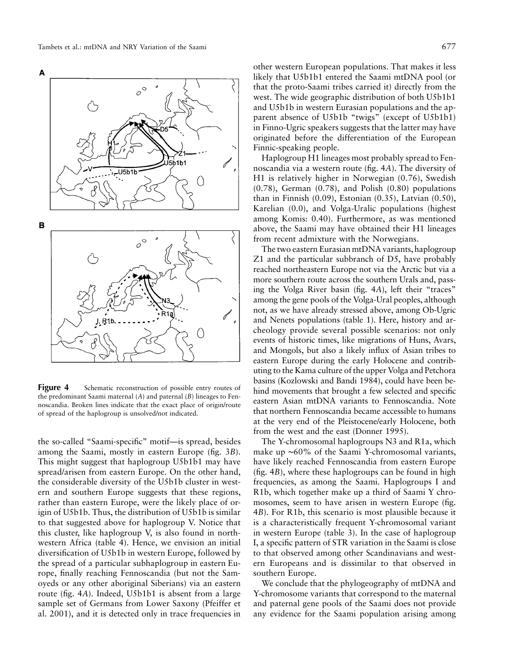A

other western European populations. That makes it less likely that U5b1b1 entered the Saami mtDNA pool (or that the proto-Saami tribes carried it) directly from the west. The wide geographic distribution of both U5b1b1 and U5b1b in western Eurasian populations and the apparent absence of U5b1b "twigs" (except of U5b1b1) in Finno-Ugric speakers suggests that the latter may have originated before the differentiation of the European Finnic-speaking people.

Haplogroup H1 lineages most probably spread to Fennoscandia via a western route (fig. 4*A*). The diversity of H1 is relatively higher in Norwegian (0.76), Swedish (0.78), German (0.78), and Polish (0.80) populations than in Finnish (0.09), Estonian (0.35), Latvian (0.50), Karelian (0.0), and Volga-Uralic populations (highest among Komis: 0.40). Furthermore, as was mentioned above, the Saami may have obtained their H1 lineages from recent admixture with the Norwegians.

The two eastern Eurasian mtDNA variants, haplogroup Z1 and the particular subbranch of D5, have probably reached northeastern Europe not via the Arctic but via a more southern route across the southern Urals and, passing the Volga River basin (fig. 4*A*), left their "traces" among the gene pools of the Volga-Ural peoples, although not, as we have already stressed above, among Ob-Ugric and Nenets populations (table 1). Here, history and archeology provide several possible scenarios: not only events of historic times, like migrations of Huns, Avars, and Mongols, but also a likely influx of Asian tribes to eastern Europe during the early Holocene and contributing to the Kama culture of the upper Volga and Petchora basins (Kozlowski and Bandi 1984), could have been behind movements that brought a few selected and specific eastern Asian mtDNA variants to Fennoscandia. Note that northern Fennoscandia became accessible to humans at the very end of the Pleistocene/early Holocene, both from the west and the east (Donner 1995).

The Y-chromosomal haplogroups N3 and R1a, which make up ∼60% of the Saami Y-chromosomal variants, have likely reached Fennoscandia from eastern Europe (fig. 4*B*), where these haplogroups can be found in high frequencies, as among the Saami. Haplogroups I and R1b, which together make up a third of Saami Y chromosomes, seem to have arisen in western Europe (fig. 4*B*). For R1b, this scenario is most plausible because it is a characteristically frequent Y-chromosomal variant in western Europe (table 3). In the case of haplogroup I, a specific pattern of STR variation in the Saami is close to that observed among other Scandinavians and western Europeans and is dissimilar to that observed in southern Europe.

We conclude that the phylogeography of mtDNA and Y-chromosome variants that correspond to the maternal and paternal gene pools of the Saami does not provide any evidence for the Saami population arising among

the predominant Saami maternal (*A*) and paternal (*B*) lineages to Fennoscandia. Broken lines indicate that the exact place of origin/route of spread of the haplogroup is unsolved/not indicated.

the so-called "Saami-specific" motif—is spread, besides among the Saami, mostly in eastern Europe (fig. 3*B*). This might suggest that haplogroup U5b1b1 may have spread/arisen from eastern Europe. On the other hand, the considerable diversity of the U5b1b cluster in western and southern Europe suggests that these regions, rather than eastern Europe, were the likely place of origin of U5b1b. Thus, the distribution of U5b1b is similar to that suggested above for haplogroup V. Notice that this cluster, like haplogroup V, is also found in northwestern Africa (table 4). Hence, we envision an initial diversification of U5b1b in western Europe, followed by the spread of a particular subhaplogroup in eastern Europe, finally reaching Fennoscandia (but not the Samoyeds or any other aboriginal Siberians) via an eastern route (fig. 4*A*). Indeed, U5b1b1 is absent from a large sample set of Germans from Lower Saxony (Pfeiffer et al. 2001), and it is detected only in trace frequencies in

Figure 4 Schematic reconstruction of possible entry routes of

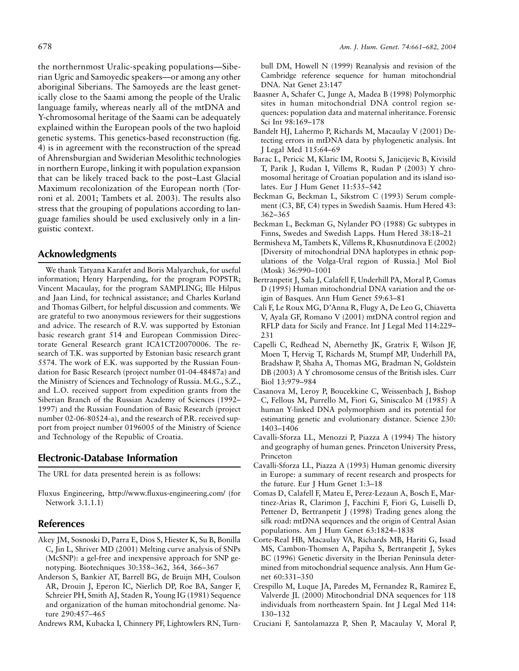the northernmost Uralic-speaking populations—Siberian Ugric and Samoyedic speakers—or among any other aboriginal Siberians. The Samoyeds are the least genetically close to the Saami among the people of the Uralic language family, whereas nearly all of the mtDNA and Y-chromosomal heritage of the Saami can be adequately explained within the European pools of the two haploid genetic systems. This genetics-based reconstruction (fig. 4) is in agreement with the reconstruction of the spread of Ahrensburgian and Swiderian Mesolithic technologies in northern Europe, linking it with population expansion that can be likely traced back to the post–Last Glacial Maximum recolonization of the European north (Torroni et al. 2001; Tambets et al. 2003). The results also stress that the grouping of populations according to language families should be used exclusively only in a linguistic context.

# **Acknowledgments**

We thank Tatyana Karafet and Boris Malyarchuk, for useful information; Henry Harpending, for the program POPSTR; Vincent Macaulay, for the program SAMPLING; Ille Hilpus and Jaan Lind, for technical assistance; and Charles Kurland and Thomas Gilbert, for helpful discussion and comments. We are grateful to two anonymous reviewers for their suggestions and advice. The research of R.V. was supported by Estonian basic research grant 514 and European Commission Directorate General Research grant ICA1CT20070006. The research of T.K. was supported by Estonian basic research grant 5574. The work of E.K. was supported by the Russian Foundation for Basic Research (project number 01-04-48487a) and the Ministry of Sciences and Technology of Russia. M.G., S.Z., and L.O. received support from expedition grants from the Siberian Branch of the Russian Academy of Sciences (1992– 1997) and the Russian Foundation of Basic Research (project number 02-06-80524-a), and the research of P.R. received support from project number 0196005 of the Ministry of Science and Technology of the Republic of Croatia.

# **Electronic-Database Information**

The URL for data presented herein is as follows:

Fluxus Engineering, http://www.fluxus-engineering.com/ (for Network 3.1.1.1)

# **References**

- Akey JM, Sosnoski D, Parra E, Dios S, Hiester K, Su B, Bonilla C, Jin L, Shriver MD (2001) Melting curve analysis of SNPs (McSNP): a gel-free and inexpensive approach for SNP genotyping. Biotechniques 30:358–362, 364, 366–367
- Anderson S, Bankier AT, Barrell BG, de Bruijn MH, Coulson AR, Drouin J, Eperon IC, Nierlich DP, Roe BA, Sanger F, Schreier PH, Smith AJ, Staden R, Young IG (1981) Sequence and organization of the human mitochondrial genome. Nature 290:457–465
- Andrews RM, Kubacka I, Chinnery PF, Lightowlers RN, Turn-

bull DM, Howell N (1999) Reanalysis and revision of the Cambridge reference sequence for human mitochondrial DNA. Nat Genet 23:147

- Baasner A, Schafer C, Junge A, Madea B (1998) Polymorphic sites in human mitochondrial DNA control region sequences: population data and maternal inheritance. Forensic Sci Int 98:169–178
- Bandelt HJ, Lahermo P, Richards M, Macaulay V (2001) Detecting errors in mtDNA data by phylogenetic analysis. Int J Legal Med 115:64–69
- Barac L, Pericic M, Klaric IM, Rootsi S, Janicijevic B, Kivisild T, Parik J, Rudan I, Villems R, Rudan P (2003) Y chromosomal heritage of Croatian population and its island isolates. Eur J Hum Genet 11:535–542
- Beckman G, Beckman L, Sikstrom C (1993) Serum complement (C3, BF, C4) types in Swedish Saamis. Hum Hered 43: 362–365
- Beckman L, Beckman G, Nylander PO (1988) Gc subtypes in Finns, Swedes and Swedish Lapps. Hum Hered 38:18–21
- Bermisheva M, Tambets K, Villems R, Khusnutdinova E (2002) [Diversity of mitochondrial DNA haplotypes in ethnic populations of the Volga-Ural region of Russia.] Mol Biol (Mosk) 36:990–1001
- Bertranpetit J, Sala J, Calafell F, Underhill PA, Moral P, Comas D (1995) Human mitochondrial DNA variation and the origin of Basques. Ann Hum Genet 59:63–81
- Cali F, Le Roux MG, D'Anna R, Flugy A, De Leo G, Chiavetta V, Ayala GF, Romano V (2001) mtDNA control region and RFLP data for Sicily and France. Int J Legal Med 114:229– 231
- Capelli C, Redhead N, Abernethy JK, Gratrix F, Wilson JF, Moen T, Hervig T, Richards M, Stumpf MP, Underhill PA, Bradshaw P, Shaha A, Thomas MG, Bradman N, Goldstein DB (2003) A Y chromosome census of the British isles. Curr Biol 13:979–984
- Casanova M, Leroy P, Boucekkine C, Weissenbach J, Bishop C, Fellous M, Purrello M, Fiori G, Siniscalco M (1985) A human Y-linked DNA polymorphism and its potential for estimating genetic and evolutionary distance. Science 230: 1403–1406
- Cavalli-Sforza LL, Menozzi P, Piazza A (1994) The history and geography of human genes. Princeton University Press, Princeton
- Cavalli-Sforza LL, Piazza A (1993) Human genomic diversity in Europe: a summary of recent research and prospects for the future. Eur J Hum Genet 1:3–18
- Comas D, Calafell F, Mateu E, Perez-Lezaun A, Bosch E, Martinez-Arias R, Clarimon J, Facchini F, Fiori G, Luiselli D, Pettener D, Bertranpetit J (1998) Trading genes along the silk road: mtDNA sequences and the origin of Central Asian populations. Am J Hum Genet 63:1824–1838
- Corte-Real HB, Macaulay VA, Richards MB, Hariti G, Issad MS, Cambon-Thomsen A, Papiha S, Bertranpetit J, Sykes BC (1996) Genetic diversity in the Iberian Peninsula determined from mitochondrial sequence analysis. Ann Hum Genet 60:331–350
- Crespillo M, Luque JA, Paredes M, Fernandez R, Ramirez E, Valverde JL (2000) Mitochondrial DNA sequences for 118 individuals from northeastern Spain. Int J Legal Med 114: 130–132
- Cruciani F, Santolamazza P, Shen P, Macaulay V, Moral P,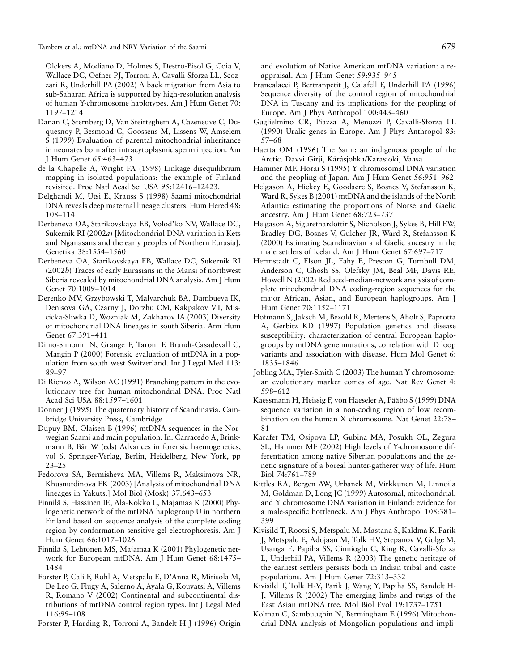Tambets et al.: mtDNA and NRY Variation of the Saami 679

Olckers A, Modiano D, Holmes S, Destro-Bisol G, Coia V, Wallace DC, Oefner PJ, Torroni A, Cavalli-Sforza LL, Scozzari R, Underhill PA (2002) A back migration from Asia to sub-Saharan Africa is supported by high-resolution analysis of human Y-chromosome haplotypes. Am J Hum Genet 70: 1197–1214

- Danan C, Sternberg D, Van Steirteghem A, Cazeneuve C, Duquesnoy P, Besmond C, Goossens M, Lissens W, Amselem S (1999) Evaluation of parental mitochondrial inheritance in neonates born after intracytoplasmic sperm injection. Am J Hum Genet 65:463–473
- de la Chapelle A, Wright FA (1998) Linkage disequilibrium mapping in isolated populations: the example of Finland revisited. Proc Natl Acad Sci USA 95:12416–12423.
- Delghandi M, Utsi E, Krauss S (1998) Saami mitochondrial DNA reveals deep maternal lineage clusters. Hum Hered 48: 108–114
- Derbeneva OA, Starikovskaya EB, Volod'ko NV, Wallace DC, Sukernik RI (2002*a*) [Mitochondrial DNA variation in Kets and Nganasans and the early peoples of Northern Eurasia]. Genetika 38:1554–1560
- Derbeneva OA, Starikovskaya EB, Wallace DC, Sukernik RI (2002*b*) Traces of early Eurasians in the Mansi of northwest Siberia revealed by mitochondrial DNA analysis. Am J Hum Genet 70:1009–1014
- Derenko MV, Grzybowski T, Malyarchuk BA, Dambueva IK, Denisova GA, Czarny J, Dorzhu CM, Kakpakov VT, Miscicka-Sliwka D, Wozniak M, Zakharov IA (2003) Diversity of mitochondrial DNA lineages in south Siberia. Ann Hum Genet 67:391–411
- Dimo-Simonin N, Grange F, Taroni F, Brandt-Casadevall C, Mangin P (2000) Forensic evaluation of mtDNA in a population from south west Switzerland. Int J Legal Med 113: 89–97
- Di Rienzo A, Wilson AC (1991) Branching pattern in the evolutionary tree for human mitochondrial DNA. Proc Natl Acad Sci USA 88:1597–1601
- Donner J (1995) The quaternary history of Scandinavia. Cambridge University Press, Cambridge
- Dupuy BM, Olaisen B (1996) mtDNA sequences in the Norwegian Saami and main population. In: Carracedo A, Brinkmann B, Bär W (eds) Advances in forensic haemogenetics, vol 6. Springer-Verlag, Berlin, Heidelberg, New York, pp 23–25
- Fedorova SA, Bermisheva MA, Villems R, Maksimova NR, Khusnutdinova EK (2003) [Analysis of mitochondrial DNA lineages in Yakuts.] Mol Biol (Mosk) 37:643–653
- Finnila¨ S, Hassinen IE, Ala-Kokko L, Majamaa K (2000) Phylogenetic network of the mtDNA haplogroup U in northern Finland based on sequence analysis of the complete coding region by conformation-sensitive gel electrophoresis. Am J Hum Genet 66:1017–1026
- Finnila¨ S, Lehtonen MS, Majamaa K (2001) Phylogenetic network for European mtDNA. Am J Hum Genet 68:1475– 1484
- Forster P, Cali F, Rohl A, Metspalu E, D'Anna R, Mirisola M, De Leo G, Flugy A, Salerno A, Ayala G, Kouvatsi A, Villems R, Romano V (2002) Continental and subcontinental distributions of mtDNA control region types. Int J Legal Med 116:99–108
- Forster P, Harding R, Torroni A, Bandelt H-J (1996) Origin

and evolution of Native American mtDNA variation: a reappraisal. Am J Hum Genet 59:935–945

- Francalacci P, Bertranpetit J, Calafell F, Underhill PA (1996) Sequence diversity of the control region of mitochondrial DNA in Tuscany and its implications for the peopling of Europe. Am J Phys Anthropol 100:443–460
- Guglielmino CR, Piazza A, Menozzi P, Cavalli-Sforza LL (1990) Uralic genes in Europe. Am J Phys Anthropol 83: 57–68
- Haetta OM (1996) The Sami: an indigenous people of the Arctic. Davvi Girji, Kárásjohka/Karasjoki, Vaasa
- Hammer MF, Horai S (1995) Y chromosomal DNA variation and the peopling of Japan. Am J Hum Genet 56:951–962
- Helgason A, Hickey E, Goodacre S, Bosnes V, Stefansson K, Ward R, Sykes B (2001) mtDNA and the islands of the North Atlantic: estimating the proportions of Norse and Gaelic ancestry. Am J Hum Genet 68:723–737
- Helgason A, Sigurethardottir S, Nicholson J, Sykes B, Hill EW, Bradley DG, Bosnes V, Gulcher JR, Ward R, Stefansson K (2000) Estimating Scandinavian and Gaelic ancestry in the male settlers of Iceland. Am J Hum Genet 67:697–717
- Herrnstadt C, Elson JL, Fahy E, Preston G, Turnbull DM, Anderson C, Ghosh SS, Olefsky JM, Beal MF, Davis RE, Howell N (2002) Reduced-median-network analysis of complete mitochondrial DNA coding-region sequences for the major African, Asian, and European haplogroups. Am J Hum Genet 70:1152–1171
- Hofmann S, Jaksch M, Bezold R, Mertens S, Aholt S, Paprotta A, Gerbitz KD (1997) Population genetics and disease susceptibility: characterization of central European haplogroups by mtDNA gene mutations, correlation with D loop variants and association with disease. Hum Mol Genet 6: 1835–1846
- Jobling MA, Tyler-Smith C (2003) The human Y chromosome: an evolutionary marker comes of age. Nat Rev Genet 4: 598–612
- Kaessmann H, Heissig F, von Haeseler A, Pääbo S (1999) DNA sequence variation in a non-coding region of low recombination on the human X chromosome. Nat Genet 22:78– 81
- Karafet TM, Osipova LP, Gubina MA, Posukh OL, Zegura SL, Hammer MF (2002) High levels of Y-chromosome differentiation among native Siberian populations and the genetic signature of a boreal hunter-gatherer way of life. Hum Biol 74:761–789
- Kittles RA, Bergen AW, Urbanek M, Virkkunen M, Linnoila M, Goldman D, Long JC (1999) Autosomal, mitochondrial, and Y chromosome DNA variation in Finland: evidence for a male-specific bottleneck. Am J Phys Anthropol 108:381– 399
- Kivisild T, Rootsi S, Metspalu M, Mastana S, Kaldma K, Parik J, Metspalu E, Adojaan M, Tolk HV, Stepanov V, Golge M, Usanga E, Papiha SS, Cinnioglu C, King R, Cavalli-Sforza L, Underhill PA, Villems R (2003) The genetic heritage of the earliest settlers persists both in Indian tribal and caste populations. Am J Hum Genet 72:313–332
- Kivisild T, Tolk H-V, Parik J, Wang Y, Papiha SS, Bandelt H-J, Villems R (2002) The emerging limbs and twigs of the East Asian mtDNA tree. Mol Biol Evol 19:1737–1751
- Kolman C, Sambuughin N, Bermingham E (1996) Mitochondrial DNA analysis of Mongolian populations and impli-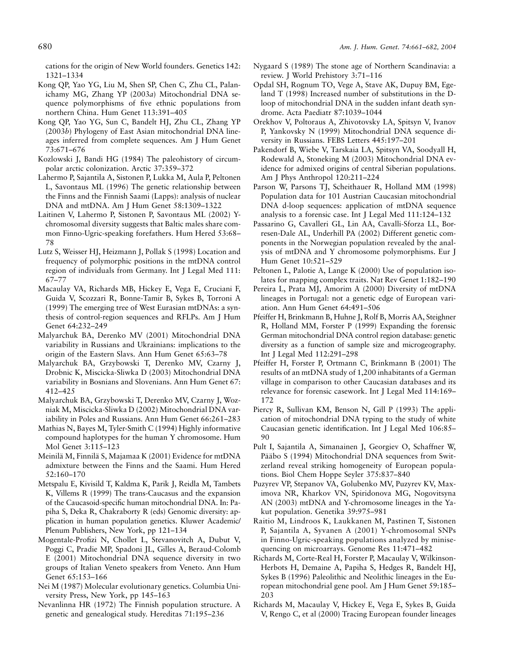cations for the origin of New World founders. Genetics 142: 1321–1334

- Kong QP, Yao YG, Liu M, Shen SP, Chen C, Zhu CL, Palanichamy MG, Zhang YP (2003*a*) Mitochondrial DNA sequence polymorphisms of five ethnic populations from northern China. Hum Genet 113:391–405
- Kong QP, Yao YG, Sun C, Bandelt HJ, Zhu CL, Zhang YP (2003*b*) Phylogeny of East Asian mitochondrial DNA lineages inferred from complete sequences. Am J Hum Genet 73:671–676
- Kozlowski J, Bandi HG (1984) The paleohistory of circumpolar arctic colonization. Arctic 37:359–372
- Lahermo P, Sajantila A, Sistonen P, Lukka M, Aula P, Peltonen L, Savontaus ML (1996) The genetic relationship between the Finns and the Finnish Saami (Lapps): analysis of nuclear DNA and mtDNA. Am J Hum Genet 58:1309–1322
- Laitinen V, Lahermo P, Sistonen P, Savontaus ML (2002) Ychromosomal diversity suggests that Baltic males share common Finno-Ugric-speaking forefathers. Hum Hered 53:68– 78
- Lutz S, Weisser HJ, Heizmann J, Pollak S (1998) Location and frequency of polymorphic positions in the mtDNA control region of individuals from Germany. Int J Legal Med 111: 67–77
- Macaulay VA, Richards MB, Hickey E, Vega E, Cruciani F, Guida V, Scozzari R, Bonne-Tamir B, Sykes B, Torroni A (1999) The emerging tree of West Eurasian mtDNAs: a synthesis of control-region sequences and RFLPs. Am J Hum Genet 64:232–249
- Malyarchuk BA, Derenko MV (2001) Mitochondrial DNA variability in Russians and Ukrainians: implications to the origin of the Eastern Slavs. Ann Hum Genet 65:63–78
- Malyarchuk BA, Grzybowski T, Derenko MV, Czarny J, Drobnic K, Miscicka-Sliwka D (2003) Mitochondrial DNA variability in Bosnians and Slovenians. Ann Hum Genet 67: 412–425
- Malyarchuk BA, Grzybowski T, Derenko MV, Czarny J, Wozniak M, Miscicka-Sliwka D (2002) Mitochondrial DNA variability in Poles and Russians. Ann Hum Genet 66:261–283
- Mathias N, Bayes M, Tyler-Smith C (1994) Highly informative compound haplotypes for the human Y chromosome. Hum Mol Genet 3:115–123
- Meinilä M, Finnilä S, Majamaa K (2001) Evidence for mtDNA admixture between the Finns and the Saami. Hum Hered 52:160–170
- Metspalu E, Kivisild T, Kaldma K, Parik J, Reidla M, Tambets K, Villems R (1999) The trans-Caucasus and the expansion of the Caucasoid-specific human mitochondrial DNA. In: Papiha S, Deka R, Chakraborty R (eds) Genomic diversity: application in human population genetics. Kluwer Academic/ Plenum Publishers, New York, pp 121–134
- Mogentale-Profizi N, Chollet L, Stevanovitch A, Dubut V, Poggi C, Pradie MP, Spadoni JL, Gilles A, Beraud-Colomb E (2001) Mitochondrial DNA sequence diversity in two groups of Italian Veneto speakers from Veneto. Ann Hum Genet 65:153–166
- Nei M (1987) Molecular evolutionary genetics. Columbia University Press, New York, pp 145–163
- Nevanlinna HR (1972) The Finnish population structure. A genetic and genealogical study. Hereditas 71:195–236
- Nygaard S (1989) The stone age of Northern Scandinavia: a review. J World Prehistory 3:71–116
- Opdal SH, Rognum TO, Vege A, Stave AK, Dupuy BM, Egeland T (1998) Increased number of substitutions in the Dloop of mitochondrial DNA in the sudden infant death syndrome. Acta Paediatr 87:1039–1044
- Orekhov V, Poltoraus A, Zhivotovsky LA, Spitsyn V, Ivanov P, Yankovsky N (1999) Mitochondrial DNA sequence diversity in Russians. FEBS Letters 445:197–201
- Pakendorf B, Wiebe V, Tarskaia LA, Spitsyn VA, Soodyall H, Rodewald A, Stoneking M (2003) Mitochondrial DNA evidence for admixed origins of central Siberian populations. Am J Phys Anthropol 120:211–224
- Parson W, Parsons TJ, Scheithauer R, Holland MM (1998) Population data for 101 Austrian Caucasian mitochondrial DNA d-loop sequences: application of mtDNA sequence analysis to a forensic case. Int J Legal Med 111:124–132
- Passarino G, Cavalleri GL, Lin AA, Cavalli-Sforza LL, Borresen-Dale AL, Underhill PA (2002) Different genetic components in the Norwegian population revealed by the analysis of mtDNA and Y chromosome polymorphisms. Eur J Hum Genet 10:521–529
- Peltonen L, Palotie A, Lange K (2000) Use of population isolates for mapping complex traits. Nat Rev Genet 1:182–190
- Pereira L, Prata MJ, Amorim A (2000) Diversity of mtDNA lineages in Portugal: not a genetic edge of European variation. Ann Hum Genet 64:491–506
- Pfeiffer H, Brinkmann B, Huhne J, Rolf B, Morris AA, Steighner R, Holland MM, Forster P (1999) Expanding the forensic German mitochondrial DNA control region database: genetic diversity as a function of sample size and microgeography. Int J Legal Med 112:291–298
- Pfeiffer H, Forster P, Ortmann C, Brinkmann B (2001) The results of an mtDNA study of 1,200 inhabitants of a German village in comparison to other Caucasian databases and its relevance for forensic casework. Int J Legal Med 114:169– 172
- Piercy R, Sullivan KM, Benson N, Gill P (1993) The application of mitochondrial DNA typing to the study of white Caucasian genetic identification. Int J Legal Med 106:85– 90
- Pult I, Sajantila A, Simanainen J, Georgiev O, Schaffner W, Pääbo S (1994) Mitochondrial DNA sequences from Switzerland reveal striking homogeneity of European populations. Biol Chem Hoppe Seyler 375:837–840
- Puzyrev VP, Stepanov VA, Golubenko MV, Puzyrev KV, Maximova NR, Kharkov VN, Spiridonova MG, Nogovitsyna AN (2003) mtDNA and Y-chromosome lineages in the Yakut population. Genetika 39:975–981
- Raitio M, Lindroos K, Laukkanen M, Pastinen T, Sistonen P, Sajantila A, Syvanen A (2001) Y-chromosomal SNPs in Finno-Ugric-speaking populations analyzed by minisequencing on microarrays. Genome Res 11:471–482
- Richards M, Corte-Real H, Forster P, Macaulay V, Wilkinson-Herbots H, Demaine A, Papiha S, Hedges R, Bandelt HJ, Sykes B (1996) Paleolithic and Neolithic lineages in the European mitochondrial gene pool. Am J Hum Genet 59:185– 203
- Richards M, Macaulay V, Hickey E, Vega E, Sykes B, Guida V, Rengo C, et al (2000) Tracing European founder lineages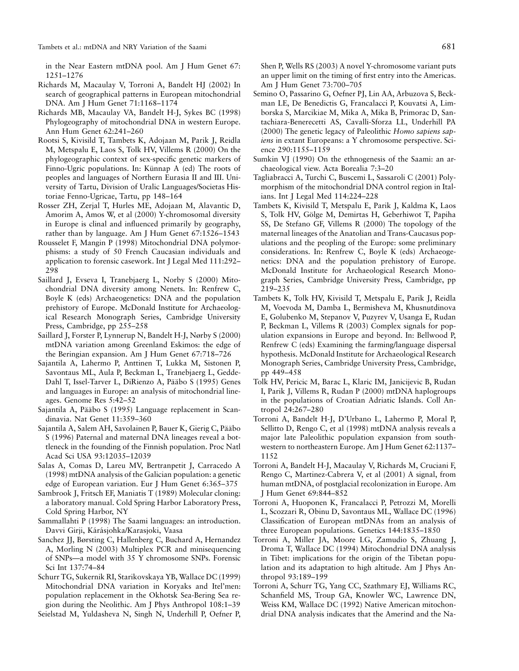in the Near Eastern mtDNA pool. Am J Hum Genet 67: 1251–1276

- Richards M, Macaulay V, Torroni A, Bandelt HJ (2002) In search of geographical patterns in European mitochondrial DNA. Am J Hum Genet 71:1168–1174
- Richards MB, Macaulay VA, Bandelt H-J, Sykes BC (1998) Phylogeography of mitochondrial DNA in western Europe. Ann Hum Genet 62:241–260
- Rootsi S, Kivisild T, Tambets K, Adojaan M, Parik J, Reidla M, Metspalu E, Laos S, Tolk HV, Villems R (2000) On the phylogeographic context of sex-specific genetic markers of Finno-Ugric populations. In: Künnap A (ed) The roots of peoples and languages of Northern Eurasia II and III. University of Tartu, Division of Uralic Languages/Societas Historiae Fenno-Ugricae, Tartu, pp 148–164
- Rosser ZH, Zerjal T, Hurles ME, Adojaan M, Alavantic D, Amorim A, Amos W, et al (2000) Y-chromosomal diversity in Europe is clinal and influenced primarily by geography, rather than by language. Am J Hum Genet 67:1526–1543
- Rousselet F, Mangin P (1998) Mitochondrial DNA polymorphisms: a study of 50 French Caucasian individuals and application to forensic casework. Int J Legal Med 111:292– 298
- Saillard J, Evseva I, Tranebjaerg L, Norby S (2000) Mitochondrial DNA diversity among Nenets. In: Renfrew C, Boyle K (eds) Archaeogenetics: DNA and the population prehistory of Europe. McDonald Institute for Archaeological Research Monograph Series, Cambridge University Press, Cambridge, pp 255–258
- Saillard J, Forster P, Lynnerup N, Bandelt H-J, Nørby S (2000) mtDNA variation among Greenland Eskimos: the edge of the Beringian expansion. Am J Hum Genet 67:718–726
- Sajantila A, Lahermo P, Anttinen T, Lukka M, Sistonen P, Savontaus ML, Aula P, Beckman L, Tranebjaerg L, Gedde-Dahl T, Issel-Tarver L, DiRienzo A, Pääbo S (1995) Genes and languages in Europe: an analysis of mitochondrial lineages. Genome Res 5:42–52
- Sajantila A, Pääbo S (1995) Language replacement in Scandinavia. Nat Genet 11:359–360
- Sajantila A, Salem AH, Savolainen P, Bauer K, Gierig C, Pääbo S (1996) Paternal and maternal DNA lineages reveal a bottleneck in the founding of the Finnish population. Proc Natl Acad Sci USA 93:12035–12039
- Salas A, Comas D, Lareu MV, Bertranpetit J, Carracedo A (1998) mtDNA analysis of the Galician population: a genetic edge of European variation. Eur J Hum Genet 6:365–375
- Sambrook J, Fritsch EF, Maniatis T (1989) Molecular cloning: a laboratory manual. Cold Spring Harbor Laboratory Press, Cold Spring Harbor, NY
- Sammallahti P (1998) The Saami languages: an introduction. Davvi Girji, Kárásjohka/Karasjoki, Vaasa
- Sanchez JJ, Børsting C, Hallenberg C, Buchard A, Hernandez A, Morling N (2003) Multiplex PCR and minisequencing of SNPs—a model with 35 Y chromosome SNPs. Forensic Sci Int 137:74–84
- Schurr TG, Sukernik RI, Starikovskaya YB, Wallace DC (1999) Mitochondrial DNA variation in Koryaks and Itel'men: population replacement in the Okhotsk Sea-Bering Sea region during the Neolithic. Am J Phys Anthropol 108:1–39

Seielstad M, Yuldasheva N, Singh N, Underhill P, Oefner P,

Shen P, Wells RS (2003) A novel Y-chromosome variant puts an upper limit on the timing of first entry into the Americas. Am J Hum Genet 73:700–705

- Semino O, Passarino G, Oefner PJ, Lin AA, Arbuzova S, Beckman LE, De Benedictis G, Francalacci P, Kouvatsi A, Limborska S, Marcikiae M, Mika A, Mika B, Primorac D, Santachiara-Benerecetti AS, Cavalli-Sforza LL, Underhill PA (2000) The genetic legacy of Paleolithic *Homo sapiens sapiens* in extant Europeans: a Y chromosome perspective. Science 290:1155–1159
- Sumkin VJ (1990) On the ethnogenesis of the Saami: an archaeological view. Acta Borealia 7:3–20
- Tagliabracci A, Turchi C, Buscemi L, Sassaroli C (2001) Polymorphism of the mitochondrial DNA control region in Italians. Int J Legal Med 114:224–228
- Tambets K, Kivisild T, Metspalu E, Parik J, Kaldma K, Laos S, Tolk HV, Gölge M, Demirtas H, Geberhiwot T, Papiha SS, De Stefano GF, Villems R (2000) The topology of the maternal lineages of the Anatolian and Trans-Caucasus populations and the peopling of the Europe: some preliminary considerations. In: Renfrew C, Boyle K (eds) Archaeogenetics: DNA and the population prehistory of Europe. McDonald Institute for Archaeological Research Monograph Series, Cambridge University Press, Cambridge, pp 219–235
- Tambets K, Tolk HV, Kivisild T, Metspalu E, Parik J, Reidla M, Voevoda M, Damba L, Bermisheva M, Khusnutdinova E, Golubenko M, Stepanov V, Puzyrev V, Usanga E, Rudan P, Beckman L, Villems R (2003) Complex signals for population expansions in Europe and beyond. In: Bellwood P, Renfrew C (eds) Examining the farming/language dispersal hypothesis. McDonald Institute for Archaeological Research Monograph Series, Cambridge University Press, Cambridge, pp 449–458
- Tolk HV, Pericic M, Barac L, Klaric IM, Janicijevic B, Rudan I, Parik J, Villems R, Rudan P (2000) mtDNA haplogroups in the populations of Croatian Adriatic Islands. Coll Antropol 24:267–280
- Torroni A, Bandelt H-J, D'Urbano L, Lahermo P, Moral P, Sellitto D, Rengo C, et al (1998) mtDNA analysis reveals a major late Paleolithic population expansion from southwestern to northeastern Europe. Am J Hum Genet 62:1137– 1152
- Torroni A, Bandelt H-J, Macaulay V, Richards M, Cruciani F, Rengo C, Martinez-Cabrera V, et al (2001) A signal, from human mtDNA, of postglacial recolonization in Europe. Am J Hum Genet 69:844–852
- Torroni A, Huoponen K, Francalacci P, Petrozzi M, Morelli L, Scozzari R, Obinu D, Savontaus ML, Wallace DC (1996) Classification of European mtDNAs from an analysis of three European populations. Genetics 144:1835–1850
- Torroni A, Miller JA, Moore LG, Zamudio S, Zhuang J, Droma T, Wallace DC (1994) Mitochondrial DNA analysis in Tibet: implications for the origin of the Tibetan population and its adaptation to high altitude. Am J Phys Anthropol 93:189–199
- Torroni A, Schurr TG, Yang CC, Szathmary EJ, Williams RC, Schanfield MS, Troup GA, Knowler WC, Lawrence DN, Weiss KM, Wallace DC (1992) Native American mitochondrial DNA analysis indicates that the Amerind and the Na-